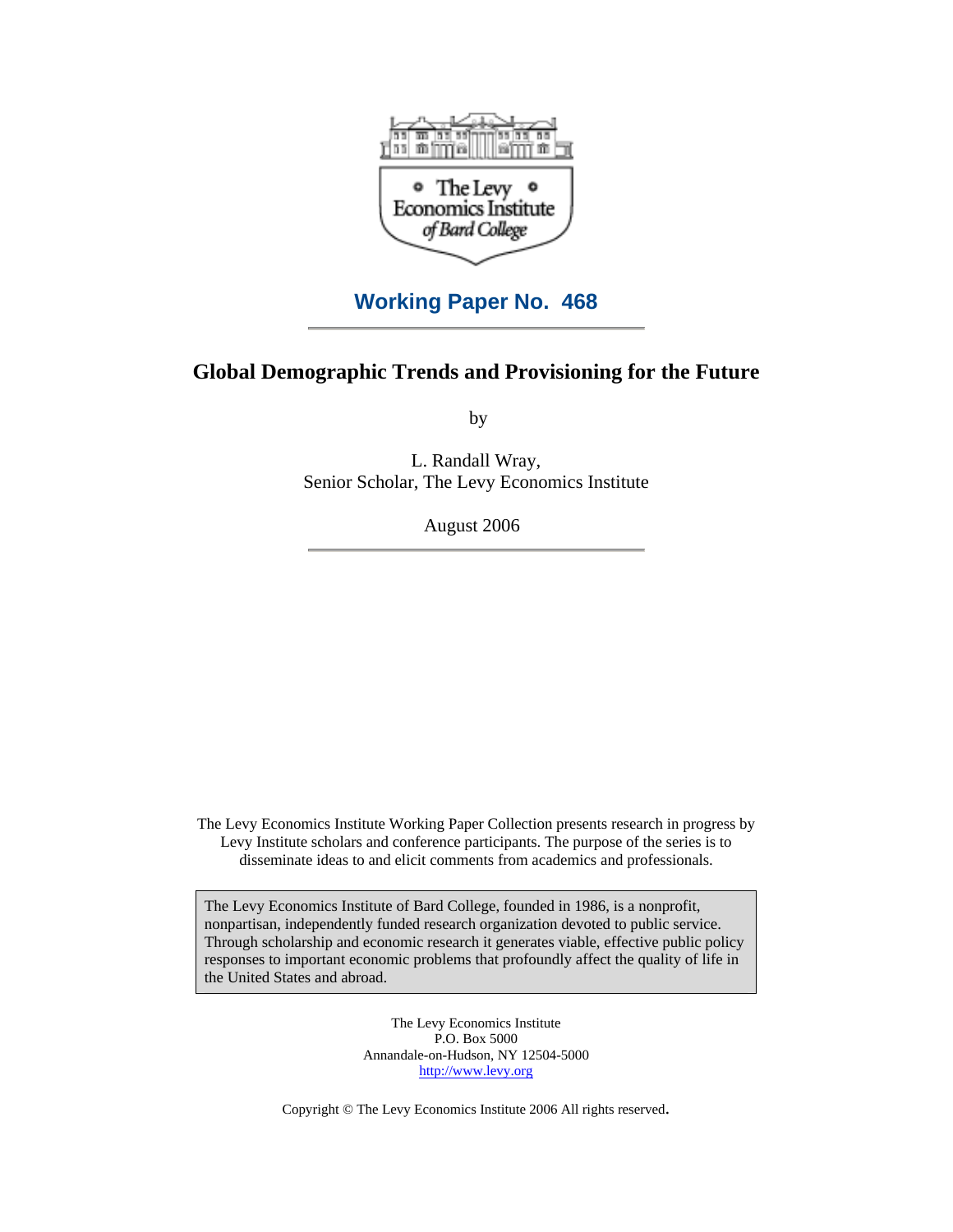

# **Working Paper No. 468**

# **Global Demographic Trends and Provisioning for the Future**

by

L. Randall Wray, Senior Scholar, The Levy Economics Institute

August 2006

The Levy Economics Institute Working Paper Collection presents research in progress by Levy Institute scholars and conference participants. The purpose of the series is to disseminate ideas to and elicit comments from academics and professionals.

The Levy Economics Institute of Bard College, founded in 1986, is a nonprofit, nonpartisan, independently funded research organization devoted to public service. Through scholarship and economic research it generates viable, effective public policy responses to important economic problems that profoundly affect the quality of life in the United States and abroad.

> The Levy Economics Institute P.O. Box 5000 Annandale-on-Hudson, NY 12504-5000 http://www.levy.org

Copyright © The Levy Economics Institute 2006 All rights reserved.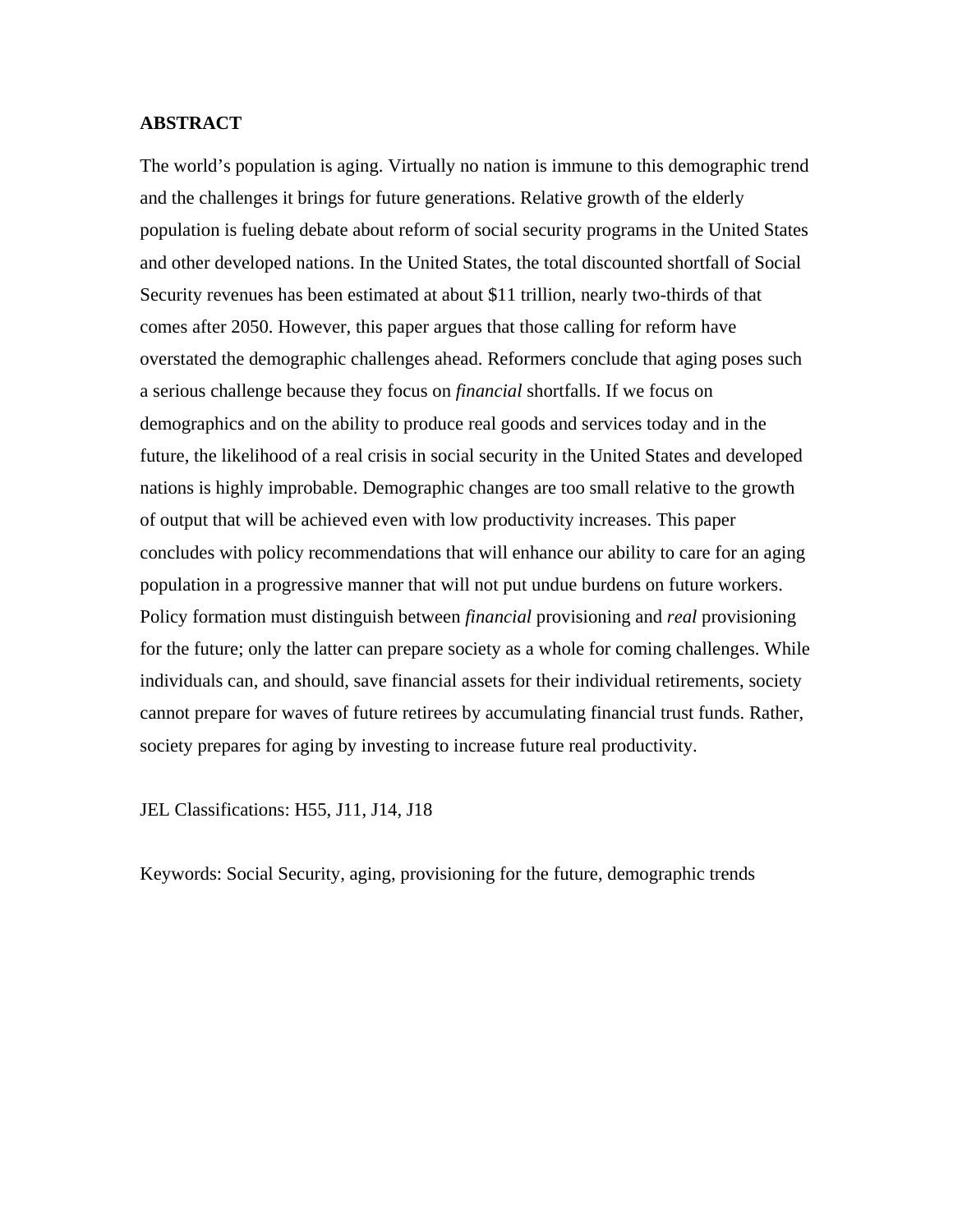### **ABSTRACT**

The world's population is aging. Virtually no nation is immune to this demographic trend and the challenges it brings for future generations. Relative growth of the elderly population is fueling debate about reform of social security programs in the United States and other developed nations. In the United States, the total discounted shortfall of Social Security revenues has been estimated at about \$11 trillion, nearly two-thirds of that comes after 2050. However, this paper argues that those calling for reform have overstated the demographic challenges ahead. Reformers conclude that aging poses such a serious challenge because they focus on *financial* shortfalls. If we focus on demographics and on the ability to produce real goods and services today and in the future, the likelihood of a real crisis in social security in the United States and developed nations is highly improbable. Demographic changes are too small relative to the growth of output that will be achieved even with low productivity increases. This paper concludes with policy recommendations that will enhance our ability to care for an aging population in a progressive manner that will not put undue burdens on future workers. Policy formation must distinguish between *financial* provisioning and *real* provisioning for the future; only the latter can prepare society as a whole for coming challenges. While individuals can, and should, save financial assets for their individual retirements, society cannot prepare for waves of future retirees by accumulating financial trust funds. Rather, society prepares for aging by investing to increase future real productivity.

JEL Classifications: H55, J11, J14, J18

Keywords: Social Security, aging, provisioning for the future, demographic trends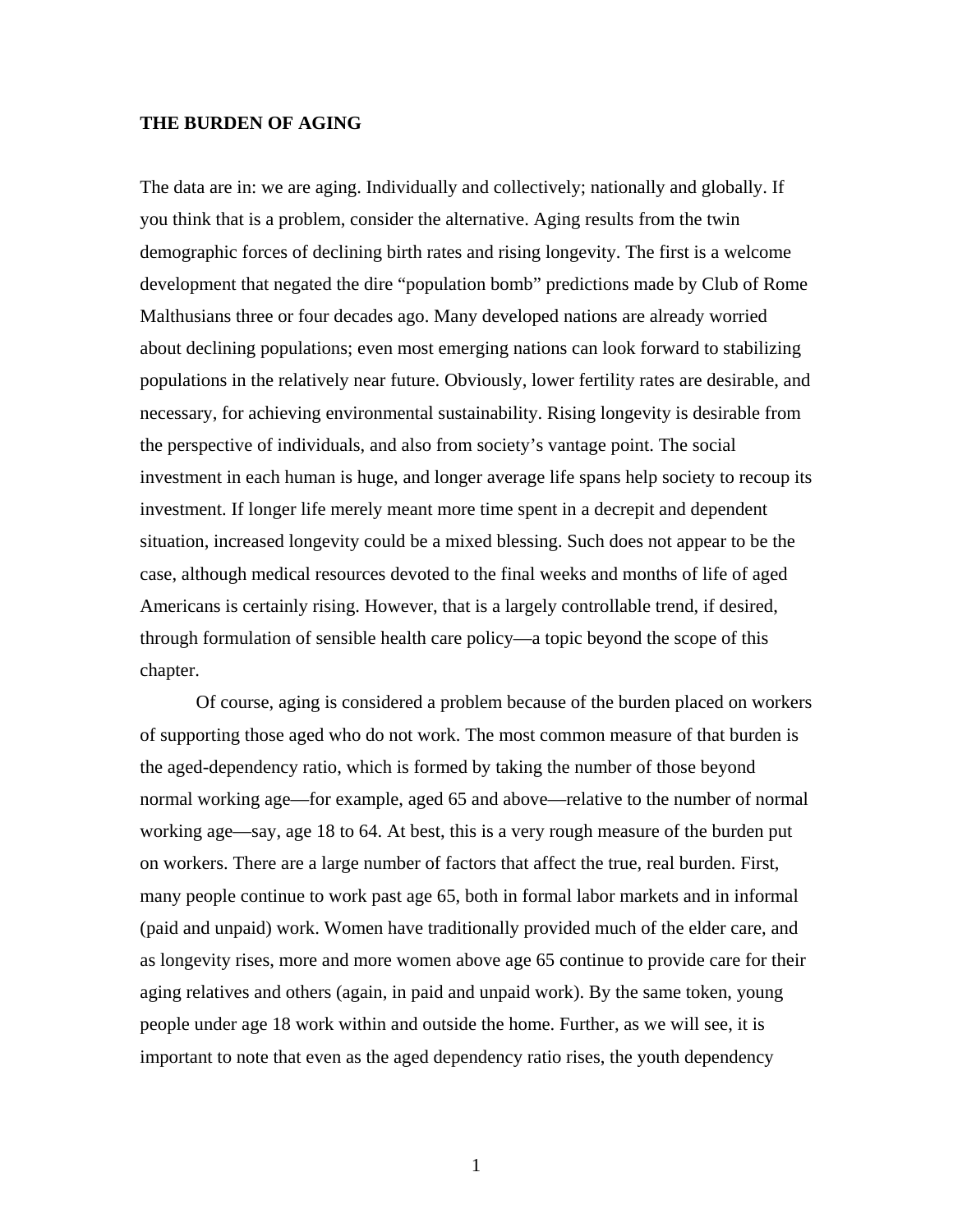### **THE BURDEN OF AGING**

The data are in: we are aging. Individually and collectively; nationally and globally. If you think that is a problem, consider the alternative. Aging results from the twin demographic forces of declining birth rates and rising longevity. The first is a welcome development that negated the dire "population bomb" predictions made by Club of Rome Malthusians three or four decades ago. Many developed nations are already worried about declining populations; even most emerging nations can look forward to stabilizing populations in the relatively near future. Obviously, lower fertility rates are desirable, and necessary, for achieving environmental sustainability. Rising longevity is desirable from the perspective of individuals, and also from society's vantage point. The social investment in each human is huge, and longer average life spans help society to recoup its investment. If longer life merely meant more time spent in a decrepit and dependent situation, increased longevity could be a mixed blessing. Such does not appear to be the case, although medical resources devoted to the final weeks and months of life of aged Americans is certainly rising. However, that is a largely controllable trend, if desired, through formulation of sensible health care policy—a topic beyond the scope of this chapter.

Of course, aging is considered a problem because of the burden placed on workers of supporting those aged who do not work. The most common measure of that burden is the aged-dependency ratio, which is formed by taking the number of those beyond normal working age—for example, aged 65 and above—relative to the number of normal working age—say, age 18 to 64. At best, this is a very rough measure of the burden put on workers. There are a large number of factors that affect the true, real burden. First, many people continue to work past age 65, both in formal labor markets and in informal (paid and unpaid) work. Women have traditionally provided much of the elder care, and as longevity rises, more and more women above age 65 continue to provide care for their aging relatives and others (again, in paid and unpaid work). By the same token, young people under age 18 work within and outside the home. Further, as we will see, it is important to note that even as the aged dependency ratio rises, the youth dependency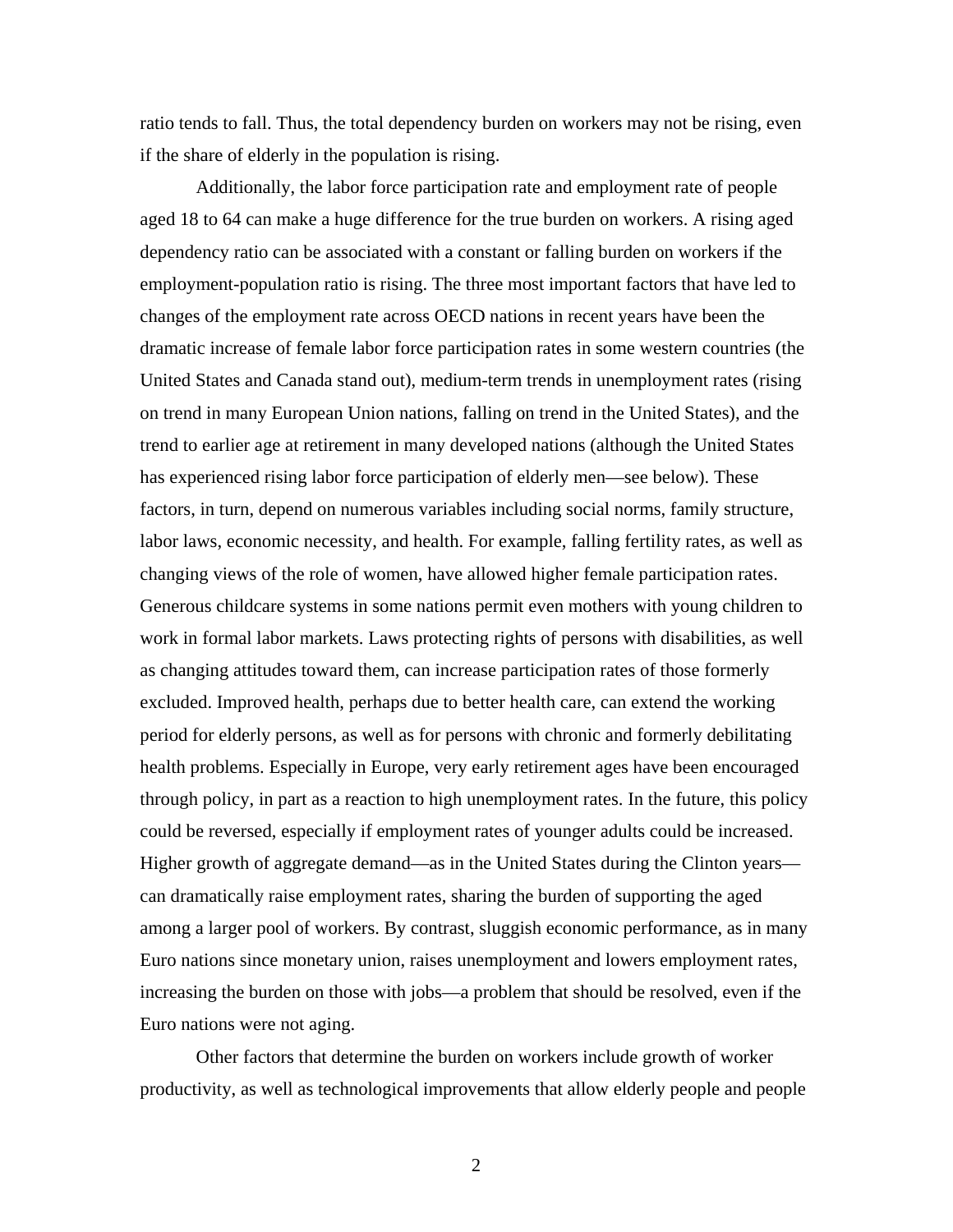ratio tends to fall. Thus, the total dependency burden on workers may not be rising, even if the share of elderly in the population is rising.

Additionally, the labor force participation rate and employment rate of people aged 18 to 64 can make a huge difference for the true burden on workers. A rising aged dependency ratio can be associated with a constant or falling burden on workers if the employment-population ratio is rising. The three most important factors that have led to changes of the employment rate across OECD nations in recent years have been the dramatic increase of female labor force participation rates in some western countries (the United States and Canada stand out), medium-term trends in unemployment rates (rising on trend in many European Union nations, falling on trend in the United States), and the trend to earlier age at retirement in many developed nations (although the United States has experienced rising labor force participation of elderly men—see below). These factors, in turn, depend on numerous variables including social norms, family structure, labor laws, economic necessity, and health. For example, falling fertility rates, as well as changing views of the role of women, have allowed higher female participation rates. Generous childcare systems in some nations permit even mothers with young children to work in formal labor markets. Laws protecting rights of persons with disabilities, as well as changing attitudes toward them, can increase participation rates of those formerly excluded. Improved health, perhaps due to better health care, can extend the working period for elderly persons, as well as for persons with chronic and formerly debilitating health problems. Especially in Europe, very early retirement ages have been encouraged through policy, in part as a reaction to high unemployment rates. In the future, this policy could be reversed, especially if employment rates of younger adults could be increased. Higher growth of aggregate demand—as in the United States during the Clinton years can dramatically raise employment rates, sharing the burden of supporting the aged among a larger pool of workers. By contrast, sluggish economic performance, as in many Euro nations since monetary union, raises unemployment and lowers employment rates, increasing the burden on those with jobs—a problem that should be resolved, even if the Euro nations were not aging.

Other factors that determine the burden on workers include growth of worker productivity, as well as technological improvements that allow elderly people and people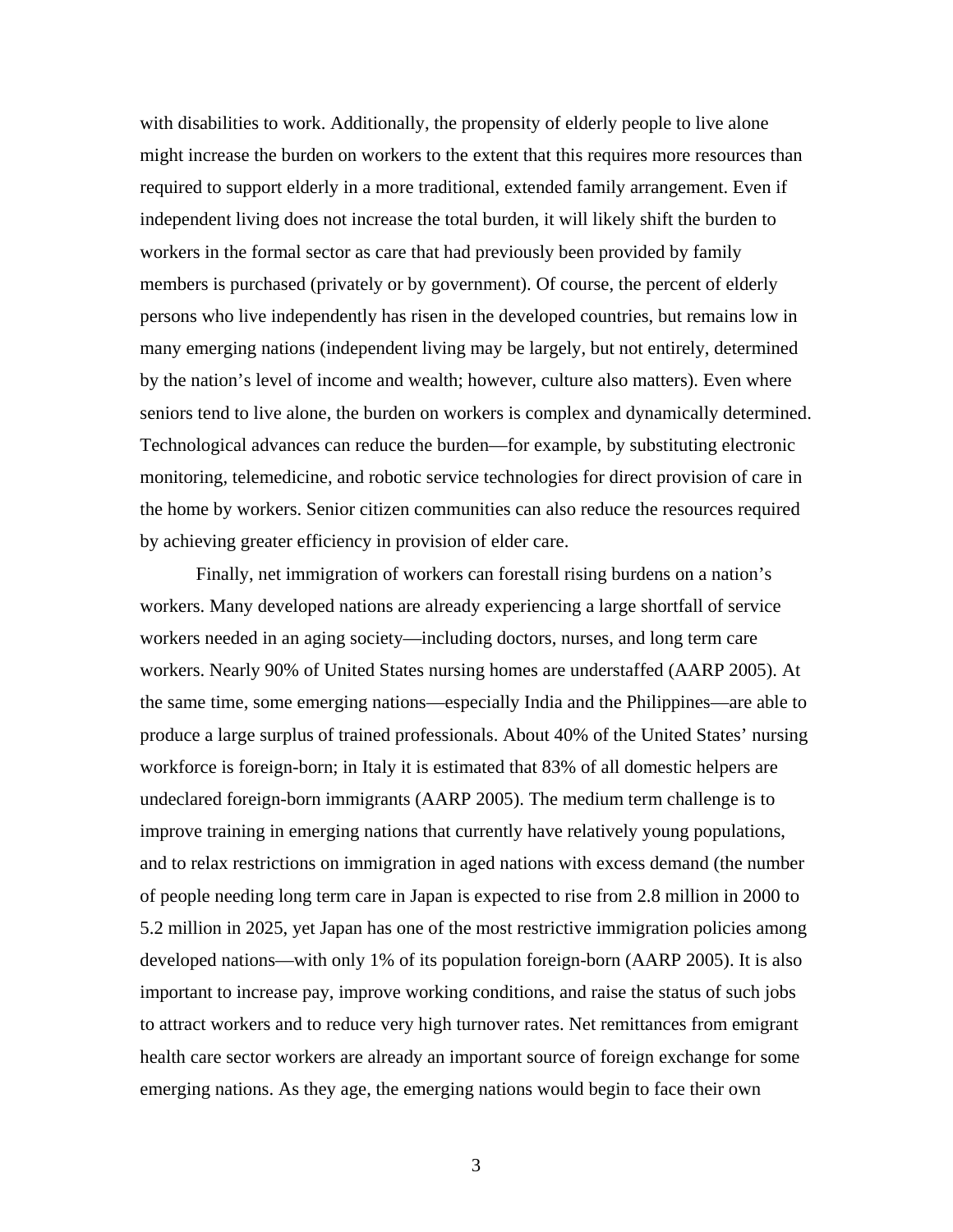with disabilities to work. Additionally, the propensity of elderly people to live alone might increase the burden on workers to the extent that this requires more resources than required to support elderly in a more traditional, extended family arrangement. Even if independent living does not increase the total burden, it will likely shift the burden to workers in the formal sector as care that had previously been provided by family members is purchased (privately or by government). Of course, the percent of elderly persons who live independently has risen in the developed countries, but remains low in many emerging nations (independent living may be largely, but not entirely, determined by the nation's level of income and wealth; however, culture also matters). Even where seniors tend to live alone, the burden on workers is complex and dynamically determined. Technological advances can reduce the burden—for example, by substituting electronic monitoring, telemedicine, and robotic service technologies for direct provision of care in the home by workers. Senior citizen communities can also reduce the resources required by achieving greater efficiency in provision of elder care.

Finally, net immigration of workers can forestall rising burdens on a nation's workers. Many developed nations are already experiencing a large shortfall of service workers needed in an aging society—including doctors, nurses, and long term care workers. Nearly 90% of United States nursing homes are understaffed (AARP 2005). At the same time, some emerging nations—especially India and the Philippines—are able to produce a large surplus of trained professionals. About 40% of the United States' nursing workforce is foreign-born; in Italy it is estimated that 83% of all domestic helpers are undeclared foreign-born immigrants (AARP 2005). The medium term challenge is to improve training in emerging nations that currently have relatively young populations, and to relax restrictions on immigration in aged nations with excess demand (the number of people needing long term care in Japan is expected to rise from 2.8 million in 2000 to 5.2 million in 2025, yet Japan has one of the most restrictive immigration policies among developed nations—with only 1% of its population foreign-born (AARP 2005). It is also important to increase pay, improve working conditions, and raise the status of such jobs to attract workers and to reduce very high turnover rates. Net remittances from emigrant health care sector workers are already an important source of foreign exchange for some emerging nations. As they age, the emerging nations would begin to face their own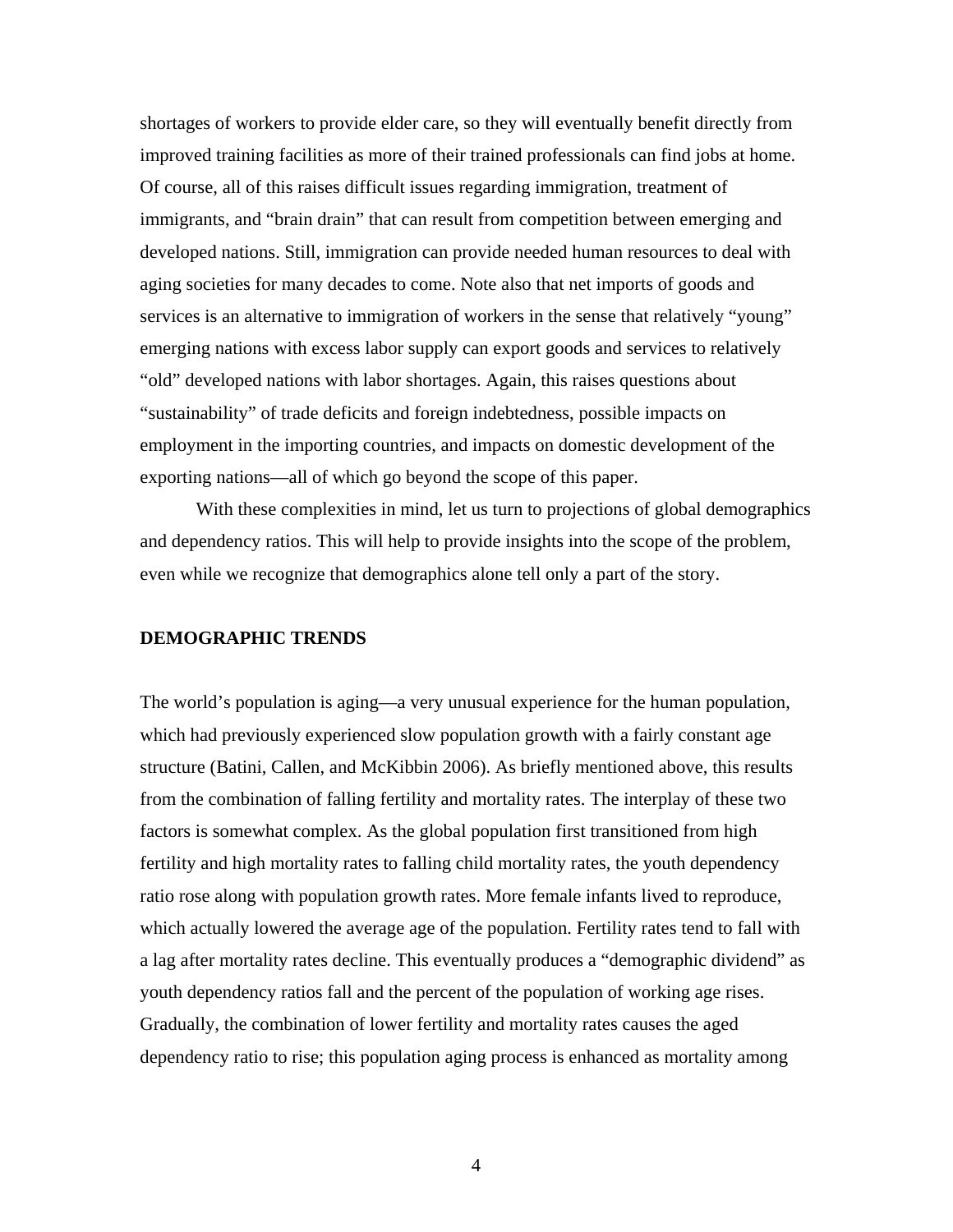shortages of workers to provide elder care, so they will eventually benefit directly from improved training facilities as more of their trained professionals can find jobs at home. Of course, all of this raises difficult issues regarding immigration, treatment of immigrants, and "brain drain" that can result from competition between emerging and developed nations. Still, immigration can provide needed human resources to deal with aging societies for many decades to come. Note also that net imports of goods and services is an alternative to immigration of workers in the sense that relatively "young" emerging nations with excess labor supply can export goods and services to relatively "old" developed nations with labor shortages. Again, this raises questions about "sustainability" of trade deficits and foreign indebtedness, possible impacts on employment in the importing countries, and impacts on domestic development of the exporting nations—all of which go beyond the scope of this paper.

With these complexities in mind, let us turn to projections of global demographics and dependency ratios. This will help to provide insights into the scope of the problem, even while we recognize that demographics alone tell only a part of the story.

### **DEMOGRAPHIC TRENDS**

The world's population is aging—a very unusual experience for the human population, which had previously experienced slow population growth with a fairly constant age structure (Batini, Callen, and McKibbin 2006). As briefly mentioned above, this results from the combination of falling fertility and mortality rates. The interplay of these two factors is somewhat complex. As the global population first transitioned from high fertility and high mortality rates to falling child mortality rates, the youth dependency ratio rose along with population growth rates. More female infants lived to reproduce, which actually lowered the average age of the population. Fertility rates tend to fall with a lag after mortality rates decline. This eventually produces a "demographic dividend" as youth dependency ratios fall and the percent of the population of working age rises. Gradually, the combination of lower fertility and mortality rates causes the aged dependency ratio to rise; this population aging process is enhanced as mortality among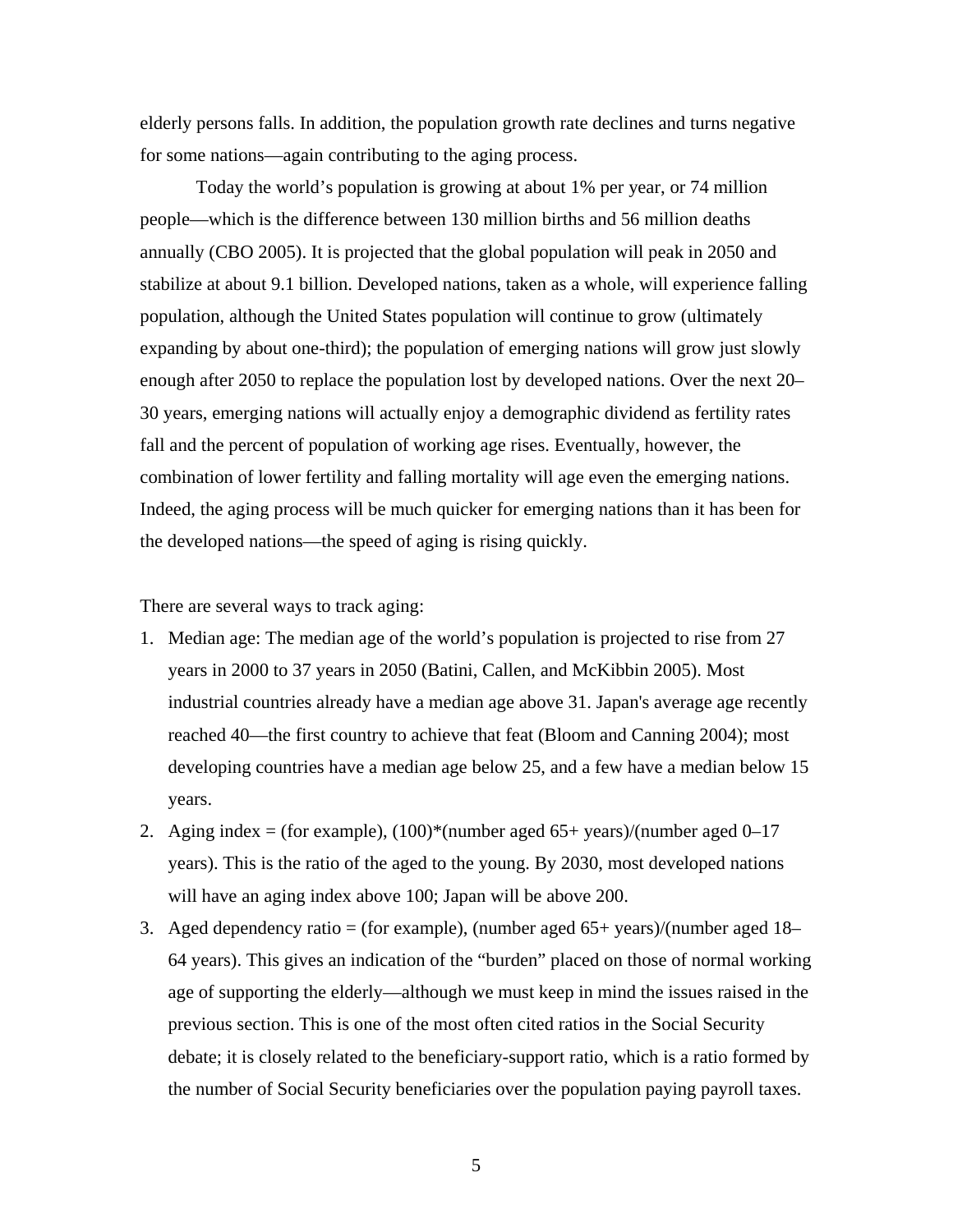elderly persons falls. In addition, the population growth rate declines and turns negative for some nations—again contributing to the aging process.

Today the world's population is growing at about 1% per year, or 74 million people—which is the difference between 130 million births and 56 million deaths annually (CBO 2005). It is projected that the global population will peak in 2050 and stabilize at about 9.1 billion. Developed nations, taken as a whole, will experience falling population, although the United States population will continue to grow (ultimately expanding by about one-third); the population of emerging nations will grow just slowly enough after 2050 to replace the population lost by developed nations. Over the next 20– 30 years, emerging nations will actually enjoy a demographic dividend as fertility rates fall and the percent of population of working age rises. Eventually, however, the combination of lower fertility and falling mortality will age even the emerging nations. Indeed, the aging process will be much quicker for emerging nations than it has been for the developed nations—the speed of aging is rising quickly.

There are several ways to track aging:

- 1. Median age: The median age of the world's population is projected to rise from 27 years in 2000 to 37 years in 2050 (Batini, Callen, and McKibbin 2005). Most industrial countries already have a median age above 31. Japan's average age recently reached 40—the first country to achieve that feat (Bloom and Canning 2004); most developing countries have a median age below 25, and a few have a median below 15 years.
- 2. Aging index = (for example),  $(100)$ <sup>\*</sup>(number aged 65+ years)/(number aged 0–17 years). This is the ratio of the aged to the young. By 2030, most developed nations will have an aging index above 100; Japan will be above 200.
- 3. Aged dependency ratio = (for example), (number aged 65+ years)/(number aged 18– 64 years). This gives an indication of the "burden" placed on those of normal working age of supporting the elderly—although we must keep in mind the issues raised in the previous section. This is one of the most often cited ratios in the Social Security debate; it is closely related to the beneficiary-support ratio, which is a ratio formed by the number of Social Security beneficiaries over the population paying payroll taxes.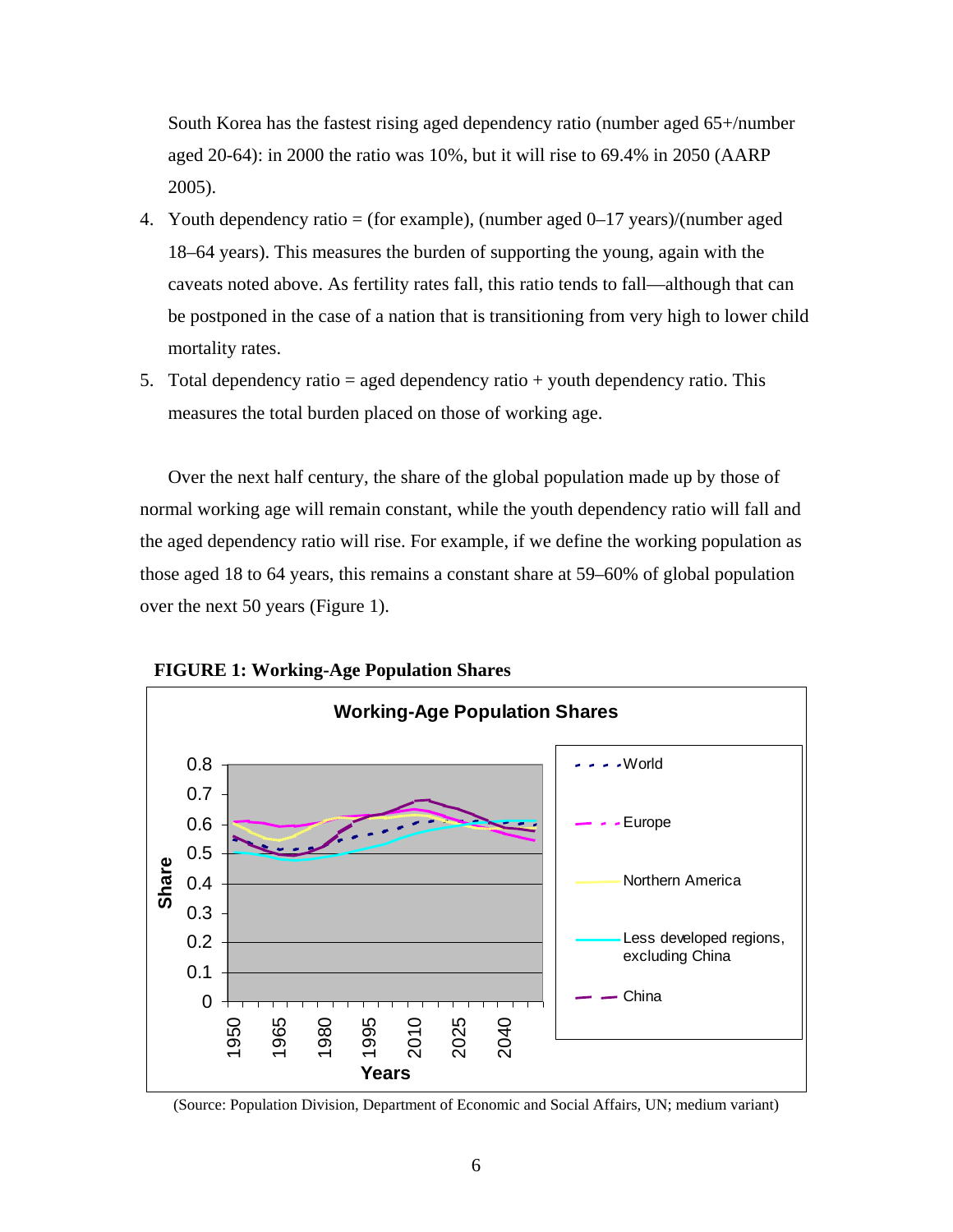South Korea has the fastest rising aged dependency ratio (number aged 65+/number aged 20-64): in 2000 the ratio was 10%, but it will rise to 69.4% in 2050 (AARP 2005).

- 4. Youth dependency ratio = (for example), (number aged 0–17 years)/(number aged 18–64 years). This measures the burden of supporting the young, again with the caveats noted above. As fertility rates fall, this ratio tends to fall—although that can be postponed in the case of a nation that is transitioning from very high to lower child mortality rates.
- 5. Total dependency ratio  $=$  aged dependency ratio  $+$  youth dependency ratio. This measures the total burden placed on those of working age.

Over the next half century, the share of the global population made up by those of normal working age will remain constant, while the youth dependency ratio will fall and the aged dependency ratio will rise. For example, if we define the working population as those aged 18 to 64 years, this remains a constant share at 59–60% of global population over the next 50 years (Figure 1).



 **FIGURE 1: Working-Age Population Shares** 

<sup>(</sup>Source: Population Division, Department of Economic and Social Affairs, UN; medium variant)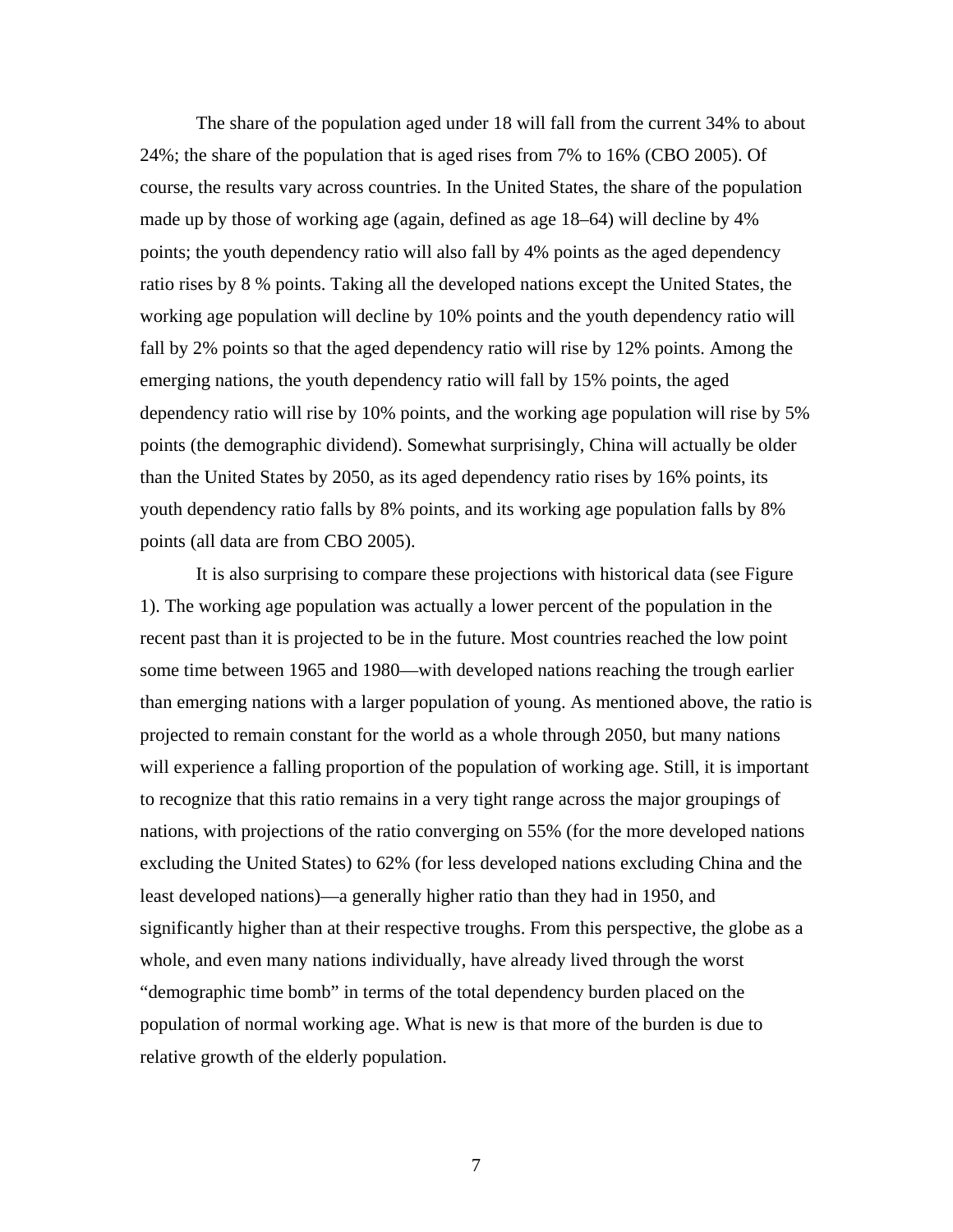The share of the population aged under 18 will fall from the current 34% to about 24%; the share of the population that is aged rises from 7% to 16% (CBO 2005). Of course, the results vary across countries. In the United States, the share of the population made up by those of working age (again, defined as age 18–64) will decline by 4% points; the youth dependency ratio will also fall by 4% points as the aged dependency ratio rises by 8 % points. Taking all the developed nations except the United States, the working age population will decline by 10% points and the youth dependency ratio will fall by 2% points so that the aged dependency ratio will rise by 12% points. Among the emerging nations, the youth dependency ratio will fall by 15% points, the aged dependency ratio will rise by 10% points, and the working age population will rise by 5% points (the demographic dividend). Somewhat surprisingly, China will actually be older than the United States by 2050, as its aged dependency ratio rises by 16% points, its youth dependency ratio falls by 8% points, and its working age population falls by 8% points (all data are from CBO 2005).

It is also surprising to compare these projections with historical data (see Figure 1). The working age population was actually a lower percent of the population in the recent past than it is projected to be in the future. Most countries reached the low point some time between 1965 and 1980—with developed nations reaching the trough earlier than emerging nations with a larger population of young. As mentioned above, the ratio is projected to remain constant for the world as a whole through 2050, but many nations will experience a falling proportion of the population of working age. Still, it is important to recognize that this ratio remains in a very tight range across the major groupings of nations, with projections of the ratio converging on 55% (for the more developed nations excluding the United States) to 62% (for less developed nations excluding China and the least developed nations)—a generally higher ratio than they had in 1950, and significantly higher than at their respective troughs. From this perspective, the globe as a whole, and even many nations individually, have already lived through the worst "demographic time bomb" in terms of the total dependency burden placed on the population of normal working age. What is new is that more of the burden is due to relative growth of the elderly population.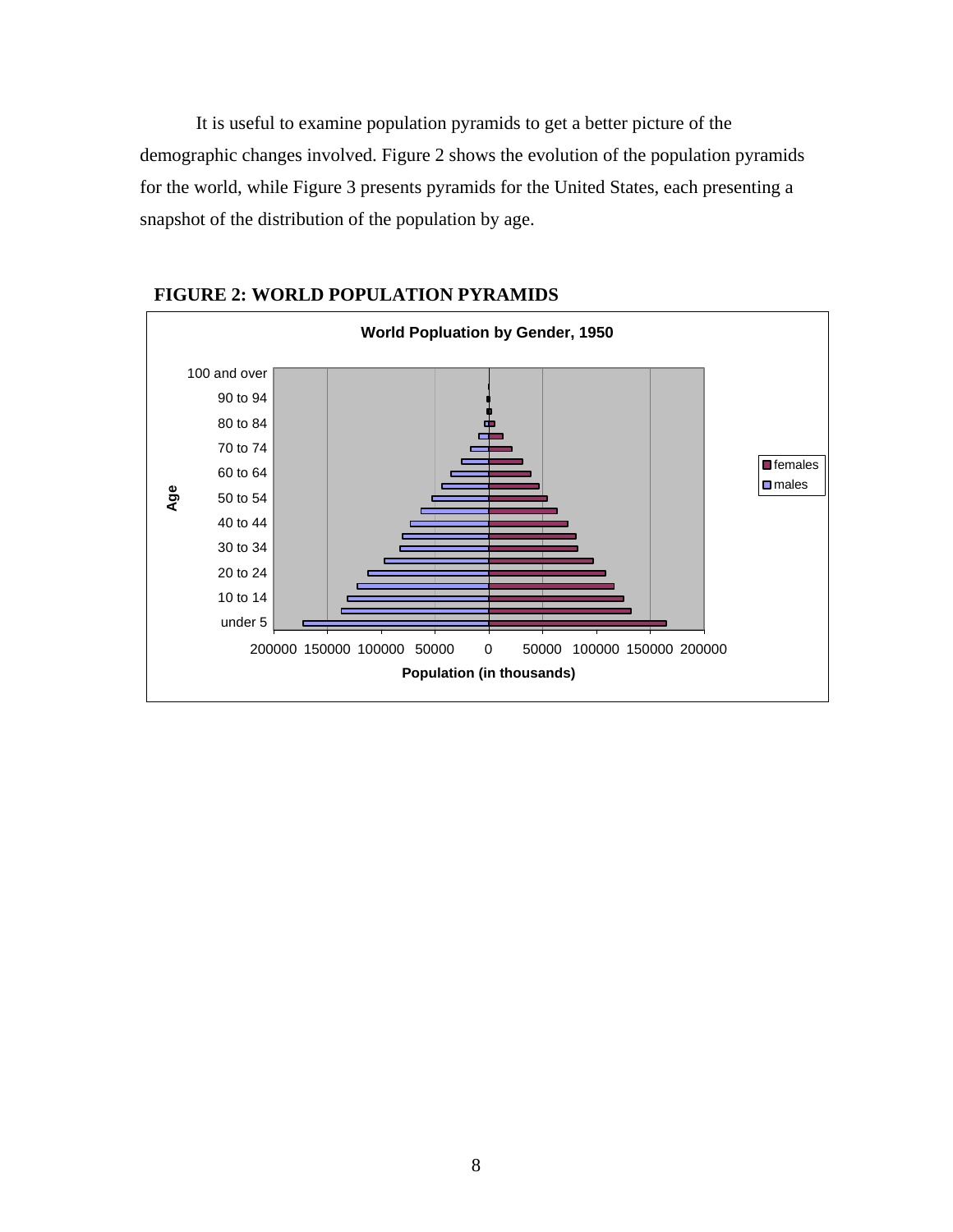It is useful to examine population pyramids to get a better picture of the demographic changes involved. Figure 2 shows the evolution of the population pyramids for the world, while Figure 3 presents pyramids for the United States, each presenting a snapshot of the distribution of the population by age.



### **FIGURE 2: WORLD POPULATION PYRAMIDS**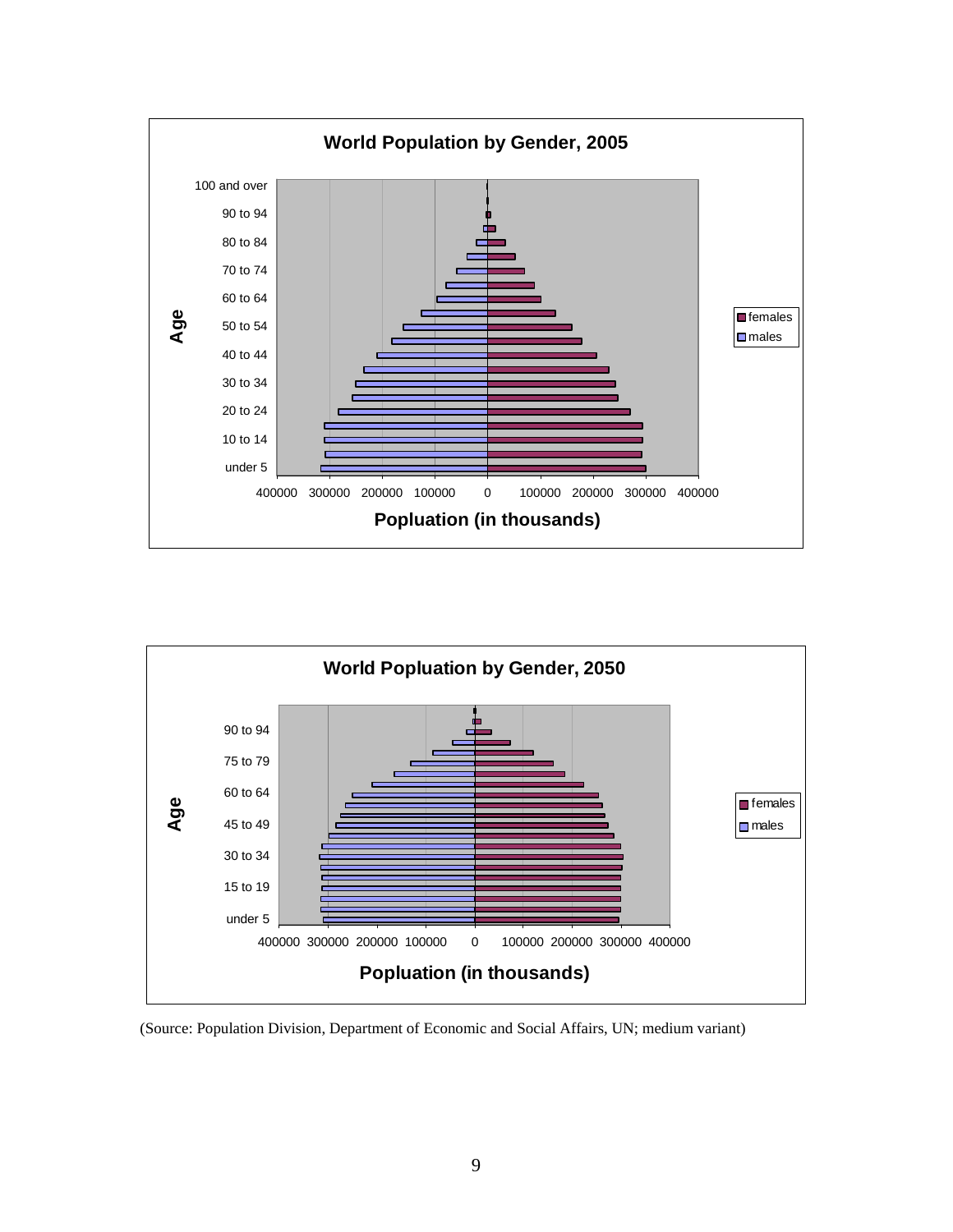



(Source: Population Division, Department of Economic and Social Affairs, UN; medium variant)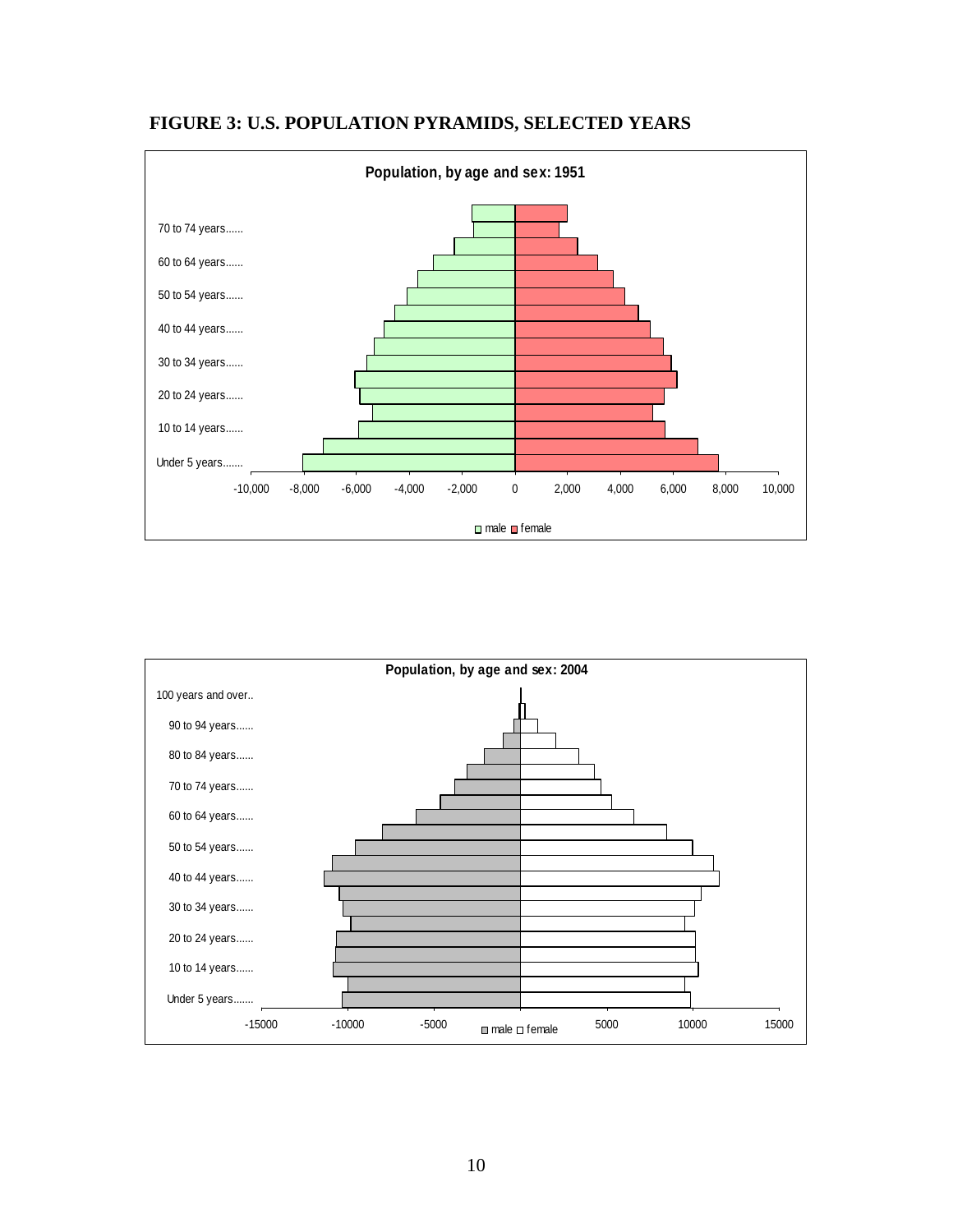

# **FIGURE 3: U.S. POPULATION PYRAMIDS, SELECTED YEARS**

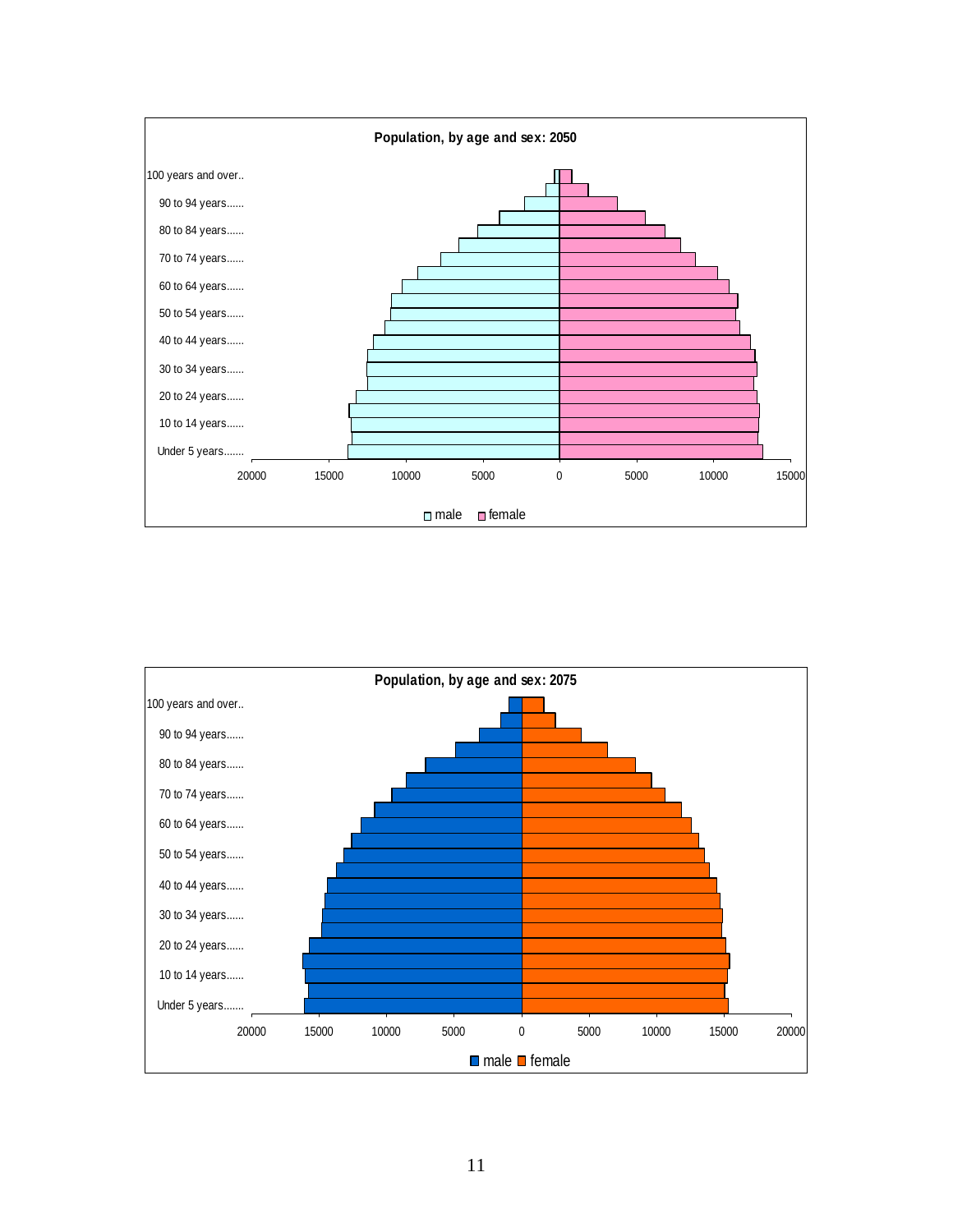

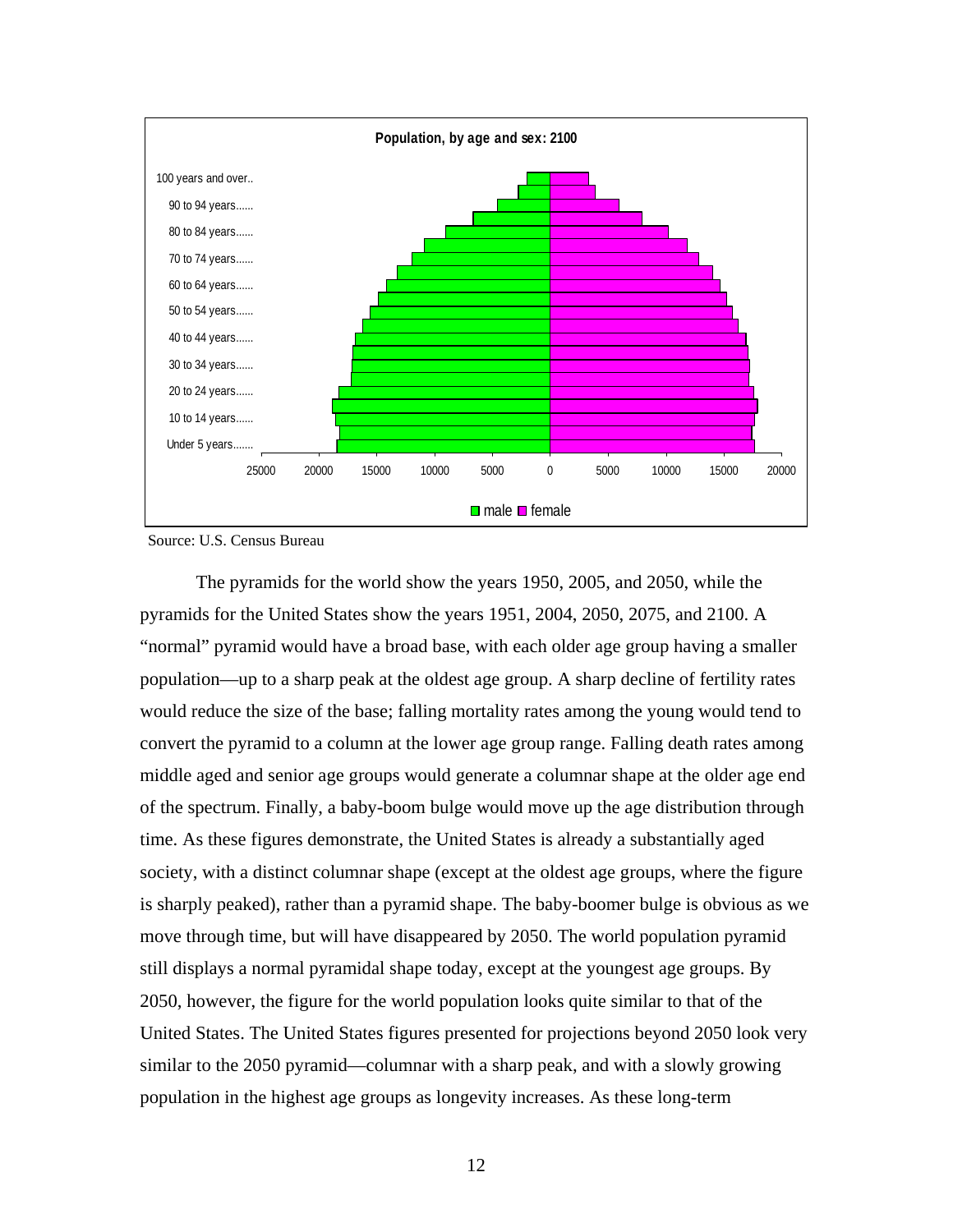

Source: U.S. Census Bureau

The pyramids for the world show the years 1950, 2005, and 2050, while the pyramids for the United States show the years 1951, 2004, 2050, 2075, and 2100. A "normal" pyramid would have a broad base, with each older age group having a smaller population—up to a sharp peak at the oldest age group. A sharp decline of fertility rates would reduce the size of the base; falling mortality rates among the young would tend to convert the pyramid to a column at the lower age group range. Falling death rates among middle aged and senior age groups would generate a columnar shape at the older age end of the spectrum. Finally, a baby-boom bulge would move up the age distribution through time. As these figures demonstrate, the United States is already a substantially aged society, with a distinct columnar shape (except at the oldest age groups, where the figure is sharply peaked), rather than a pyramid shape. The baby-boomer bulge is obvious as we move through time, but will have disappeared by 2050. The world population pyramid still displays a normal pyramidal shape today, except at the youngest age groups. By 2050, however, the figure for the world population looks quite similar to that of the United States. The United States figures presented for projections beyond 2050 look very similar to the 2050 pyramid—columnar with a sharp peak, and with a slowly growing population in the highest age groups as longevity increases. As these long-term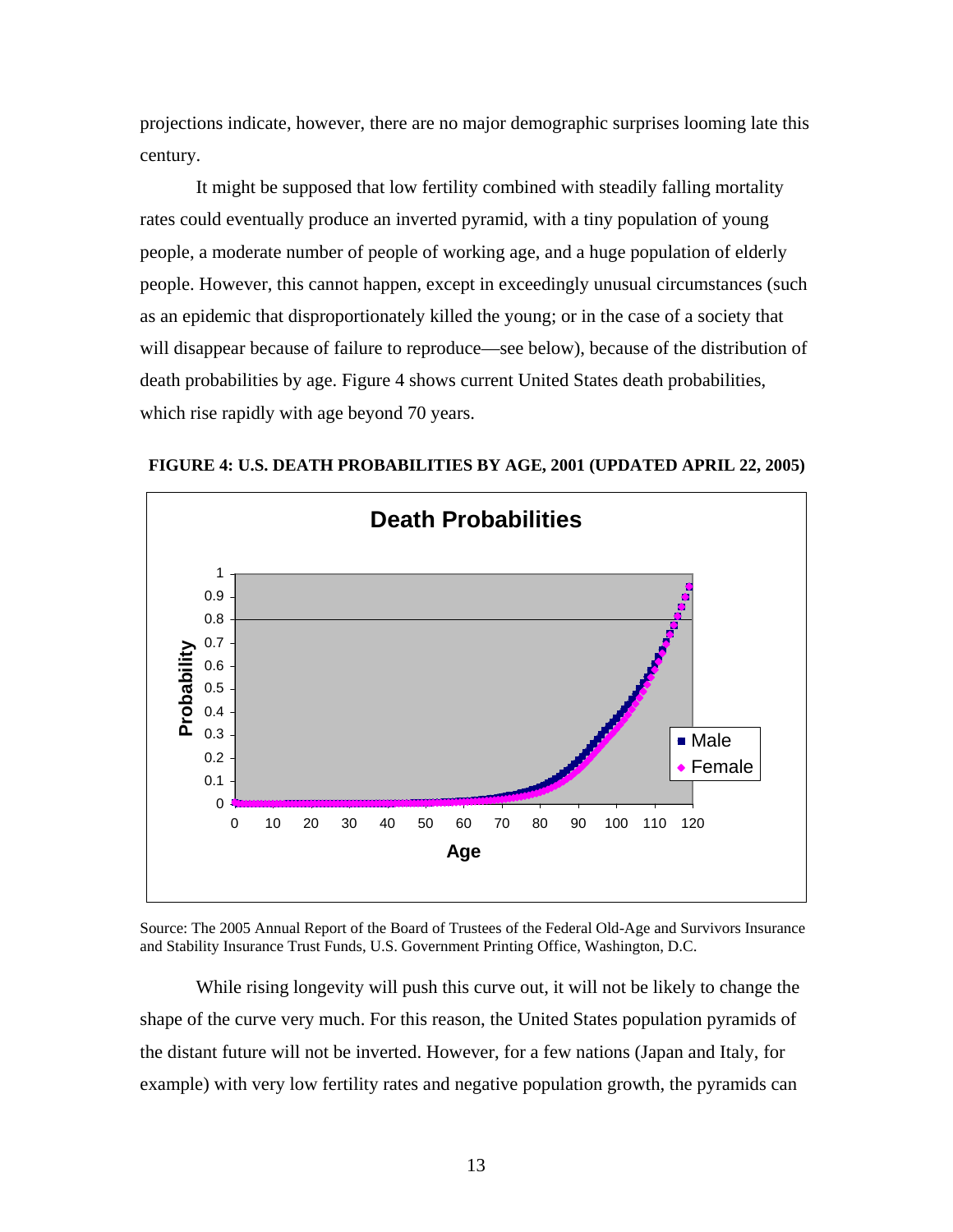projections indicate, however, there are no major demographic surprises looming late this century.

It might be supposed that low fertility combined with steadily falling mortality rates could eventually produce an inverted pyramid, with a tiny population of young people, a moderate number of people of working age, and a huge population of elderly people. However, this cannot happen, except in exceedingly unusual circumstances (such as an epidemic that disproportionately killed the young; or in the case of a society that will disappear because of failure to reproduce—see below), because of the distribution of death probabilities by age. Figure 4 shows current United States death probabilities, which rise rapidly with age beyond 70 years.





Source: The 2005 Annual Report of the Board of Trustees of the Federal Old-Age and Survivors Insurance and Stability Insurance Trust Funds, U.S. Government Printing Office, Washington, D.C.

While rising longevity will push this curve out, it will not be likely to change the shape of the curve very much. For this reason, the United States population pyramids of the distant future will not be inverted. However, for a few nations (Japan and Italy, for example) with very low fertility rates and negative population growth, the pyramids can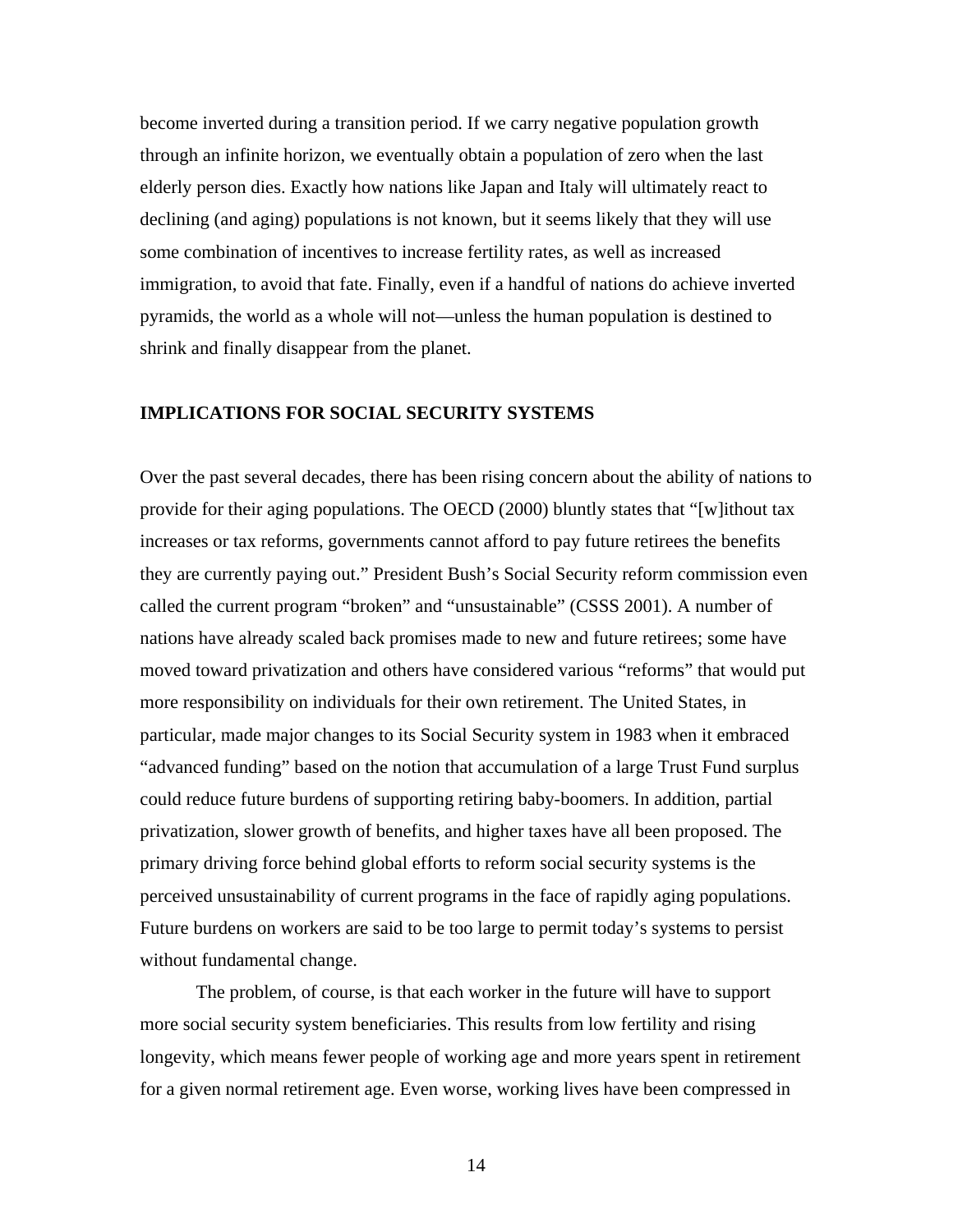become inverted during a transition period. If we carry negative population growth through an infinite horizon, we eventually obtain a population of zero when the last elderly person dies. Exactly how nations like Japan and Italy will ultimately react to declining (and aging) populations is not known, but it seems likely that they will use some combination of incentives to increase fertility rates, as well as increased immigration, to avoid that fate. Finally, even if a handful of nations do achieve inverted pyramids, the world as a whole will not—unless the human population is destined to shrink and finally disappear from the planet.

### **IMPLICATIONS FOR SOCIAL SECURITY SYSTEMS**

Over the past several decades, there has been rising concern about the ability of nations to provide for their aging populations. The OECD (2000) bluntly states that "[w]ithout tax increases or tax reforms, governments cannot afford to pay future retirees the benefits they are currently paying out." President Bush's Social Security reform commission even called the current program "broken" and "unsustainable" (CSSS 2001). A number of nations have already scaled back promises made to new and future retirees; some have moved toward privatization and others have considered various "reforms" that would put more responsibility on individuals for their own retirement. The United States, in particular, made major changes to its Social Security system in 1983 when it embraced "advanced funding" based on the notion that accumulation of a large Trust Fund surplus could reduce future burdens of supporting retiring baby-boomers. In addition, partial privatization, slower growth of benefits, and higher taxes have all been proposed. The primary driving force behind global efforts to reform social security systems is the perceived unsustainability of current programs in the face of rapidly aging populations. Future burdens on workers are said to be too large to permit today's systems to persist without fundamental change.

The problem, of course, is that each worker in the future will have to support more social security system beneficiaries. This results from low fertility and rising longevity, which means fewer people of working age and more years spent in retirement for a given normal retirement age. Even worse, working lives have been compressed in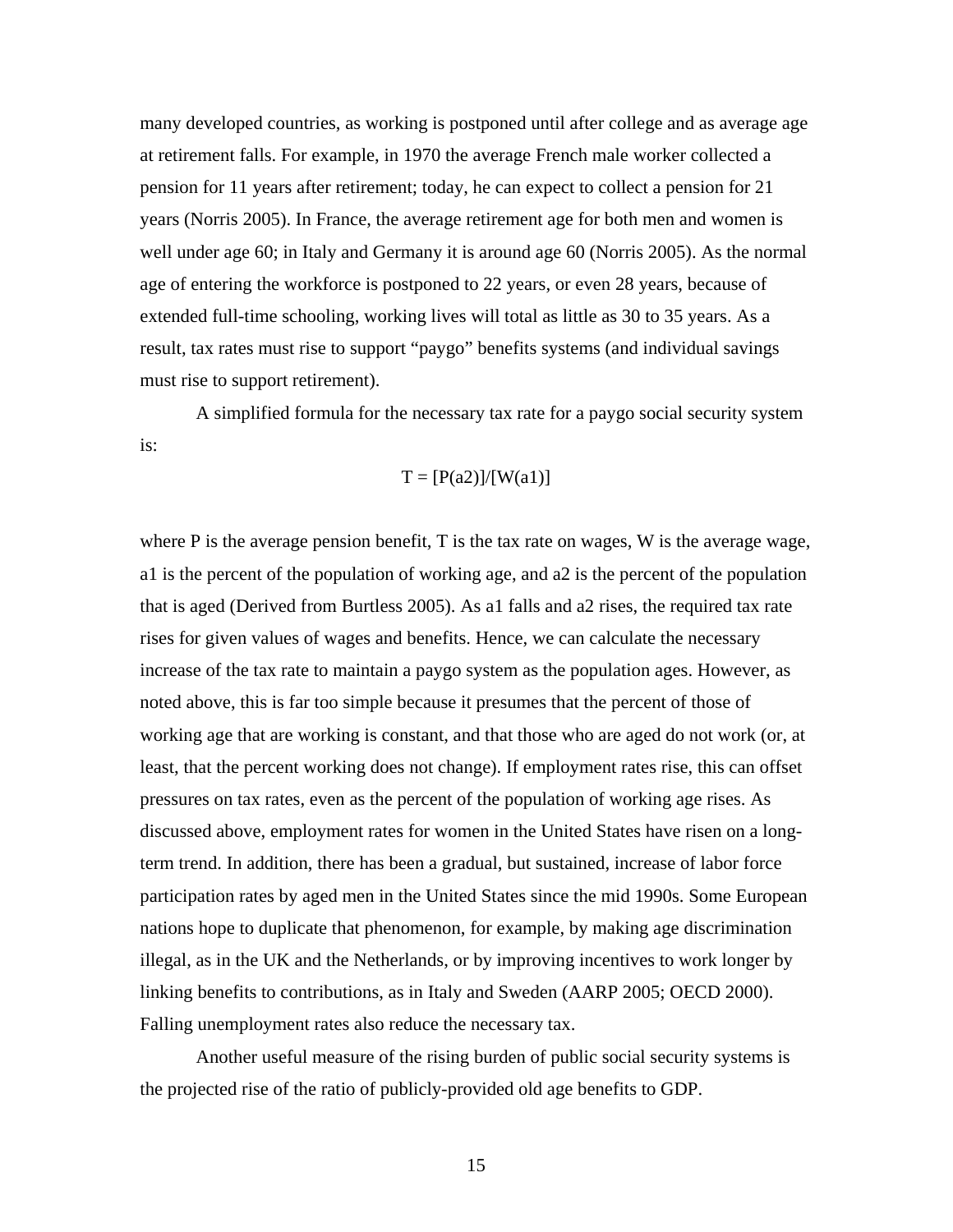many developed countries, as working is postponed until after college and as average age at retirement falls. For example, in 1970 the average French male worker collected a pension for 11 years after retirement; today, he can expect to collect a pension for 21 years (Norris 2005). In France, the average retirement age for both men and women is well under age 60; in Italy and Germany it is around age 60 (Norris 2005). As the normal age of entering the workforce is postponed to 22 years, or even 28 years, because of extended full-time schooling, working lives will total as little as 30 to 35 years. As a result, tax rates must rise to support "paygo" benefits systems (and individual savings must rise to support retirement).

A simplified formula for the necessary tax rate for a paygo social security system is:

## $T = [P(a2)]/[W(a1)]$

where P is the average pension benefit, T is the tax rate on wages, W is the average wage, a1 is the percent of the population of working age, and a2 is the percent of the population that is aged (Derived from Burtless 2005). As a1 falls and a2 rises, the required tax rate rises for given values of wages and benefits. Hence, we can calculate the necessary increase of the tax rate to maintain a paygo system as the population ages. However, as noted above, this is far too simple because it presumes that the percent of those of working age that are working is constant, and that those who are aged do not work (or, at least, that the percent working does not change). If employment rates rise, this can offset pressures on tax rates, even as the percent of the population of working age rises. As discussed above, employment rates for women in the United States have risen on a longterm trend. In addition, there has been a gradual, but sustained, increase of labor force participation rates by aged men in the United States since the mid 1990s. Some European nations hope to duplicate that phenomenon, for example, by making age discrimination illegal, as in the UK and the Netherlands, or by improving incentives to work longer by linking benefits to contributions, as in Italy and Sweden (AARP 2005; OECD 2000). Falling unemployment rates also reduce the necessary tax.

Another useful measure of the rising burden of public social security systems is the projected rise of the ratio of publicly-provided old age benefits to GDP.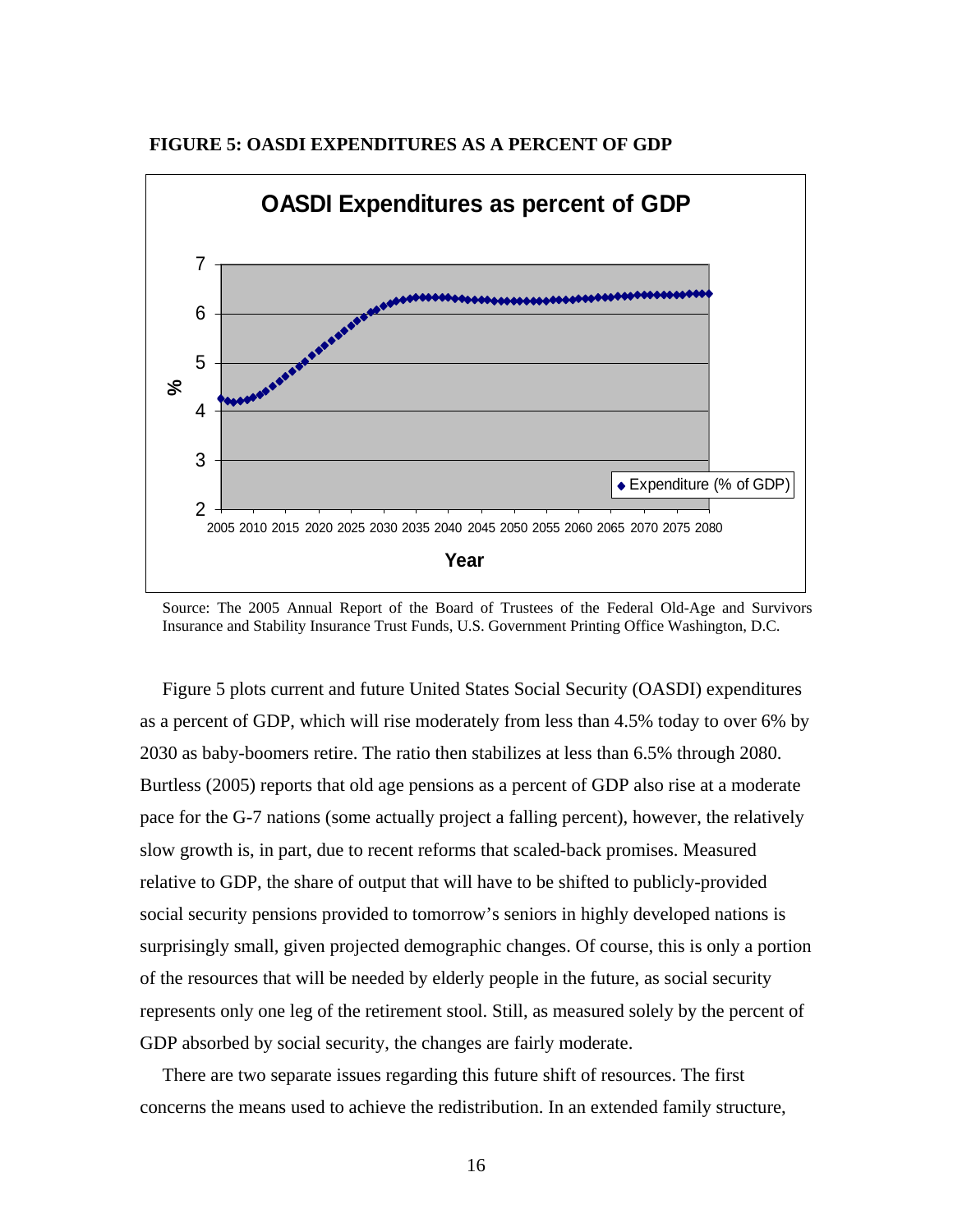### **FIGURE 5: OASDI EXPENDITURES AS A PERCENT OF GDP**



Source: The 2005 Annual Report of the Board of Trustees of the Federal Old-Age and Survivors Insurance and Stability Insurance Trust Funds, U.S. Government Printing Office Washington, D.C.

Figure 5 plots current and future United States Social Security (OASDI) expenditures as a percent of GDP, which will rise moderately from less than 4.5% today to over 6% by 2030 as baby-boomers retire. The ratio then stabilizes at less than 6.5% through 2080. Burtless (2005) reports that old age pensions as a percent of GDP also rise at a moderate pace for the G-7 nations (some actually project a falling percent), however, the relatively slow growth is, in part, due to recent reforms that scaled-back promises. Measured relative to GDP, the share of output that will have to be shifted to publicly-provided social security pensions provided to tomorrow's seniors in highly developed nations is surprisingly small, given projected demographic changes. Of course, this is only a portion of the resources that will be needed by elderly people in the future, as social security represents only one leg of the retirement stool. Still, as measured solely by the percent of GDP absorbed by social security, the changes are fairly moderate.

There are two separate issues regarding this future shift of resources. The first concerns the means used to achieve the redistribution. In an extended family structure,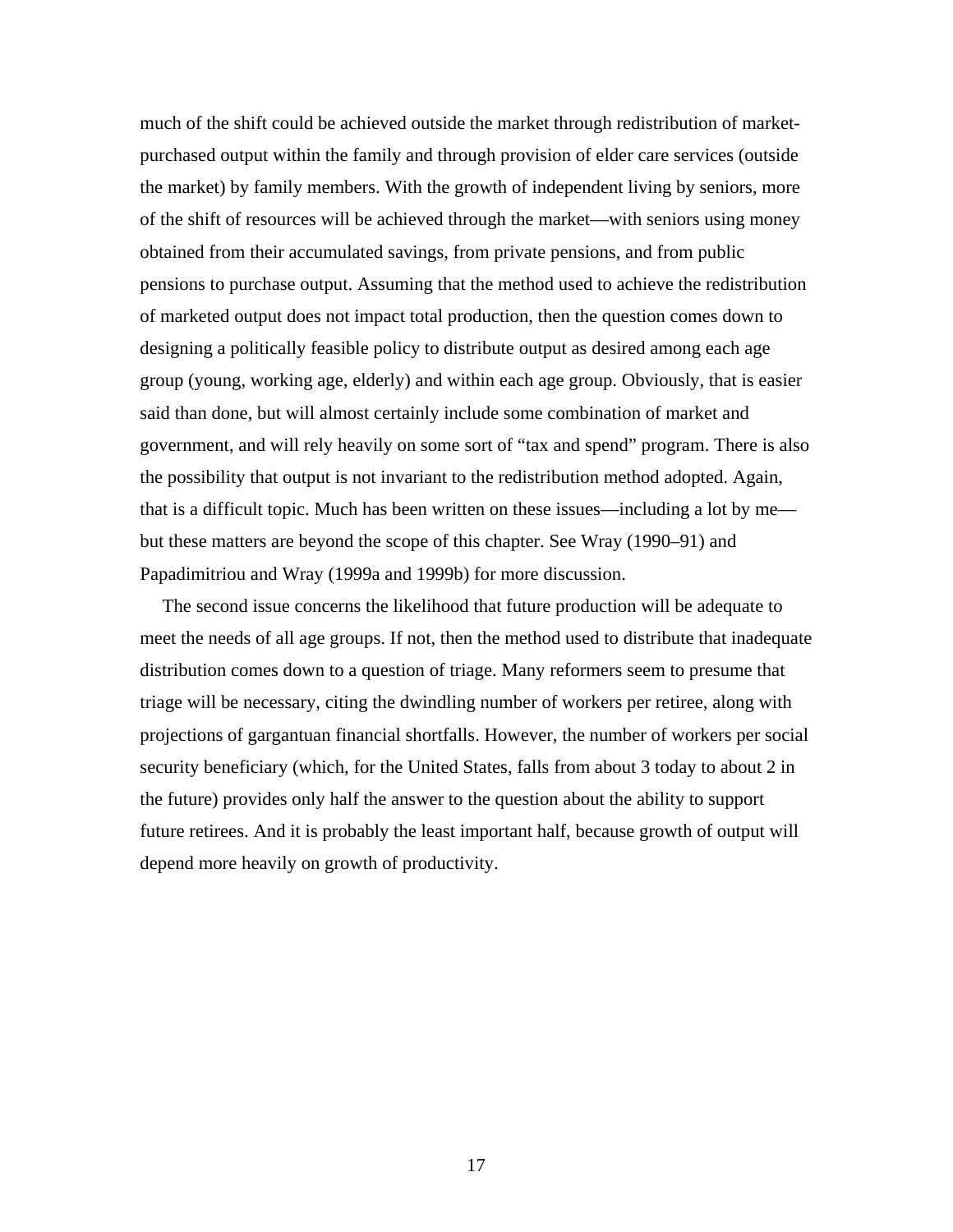much of the shift could be achieved outside the market through redistribution of marketpurchased output within the family and through provision of elder care services (outside the market) by family members. With the growth of independent living by seniors, more of the shift of resources will be achieved through the market—with seniors using money obtained from their accumulated savings, from private pensions, and from public pensions to purchase output. Assuming that the method used to achieve the redistribution of marketed output does not impact total production, then the question comes down to designing a politically feasible policy to distribute output as desired among each age group (young, working age, elderly) and within each age group. Obviously, that is easier said than done, but will almost certainly include some combination of market and government, and will rely heavily on some sort of "tax and spend" program. There is also the possibility that output is not invariant to the redistribution method adopted. Again, that is a difficult topic. Much has been written on these issues—including a lot by me but these matters are beyond the scope of this chapter. See Wray (1990–91) and Papadimitriou and Wray (1999a and 1999b) for more discussion.

The second issue concerns the likelihood that future production will be adequate to meet the needs of all age groups. If not, then the method used to distribute that inadequate distribution comes down to a question of triage. Many reformers seem to presume that triage will be necessary, citing the dwindling number of workers per retiree, along with projections of gargantuan financial shortfalls. However, the number of workers per social security beneficiary (which, for the United States, falls from about 3 today to about 2 in the future) provides only half the answer to the question about the ability to support future retirees. And it is probably the least important half, because growth of output will depend more heavily on growth of productivity.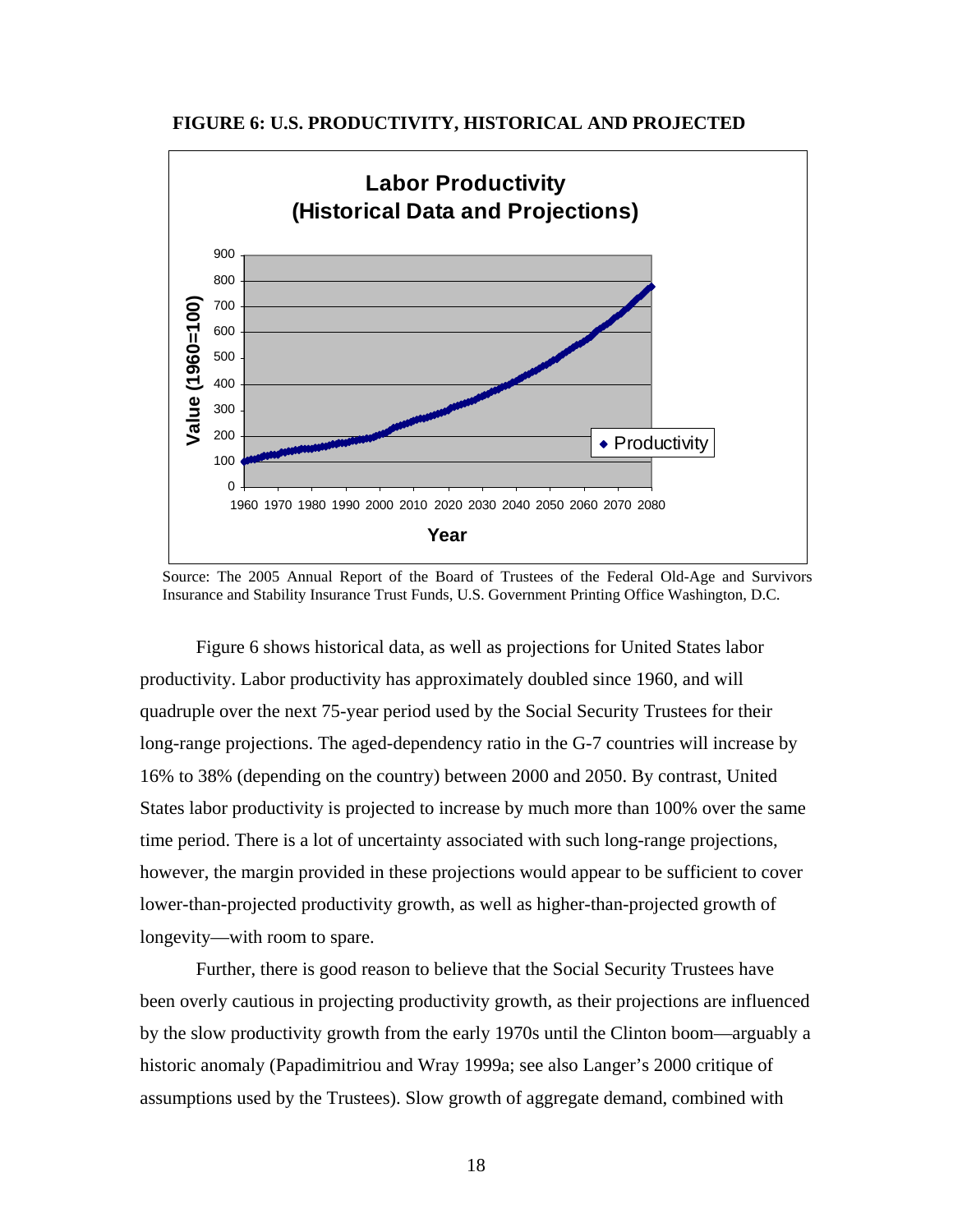#### **FIGURE 6: U.S. PRODUCTIVITY, HISTORICAL AND PROJECTED**



Source: The 2005 Annual Report of the Board of Trustees of the Federal Old-Age and Survivors Insurance and Stability Insurance Trust Funds, U.S. Government Printing Office Washington, D.C.

Figure 6 shows historical data, as well as projections for United States labor productivity. Labor productivity has approximately doubled since 1960, and will quadruple over the next 75-year period used by the Social Security Trustees for their long-range projections. The aged-dependency ratio in the G-7 countries will increase by 16% to 38% (depending on the country) between 2000 and 2050. By contrast, United States labor productivity is projected to increase by much more than 100% over the same time period. There is a lot of uncertainty associated with such long-range projections, however, the margin provided in these projections would appear to be sufficient to cover lower-than-projected productivity growth, as well as higher-than-projected growth of longevity—with room to spare.

Further, there is good reason to believe that the Social Security Trustees have been overly cautious in projecting productivity growth, as their projections are influenced by the slow productivity growth from the early 1970s until the Clinton boom—arguably a historic anomaly (Papadimitriou and Wray 1999a; see also Langer's 2000 critique of assumptions used by the Trustees). Slow growth of aggregate demand, combined with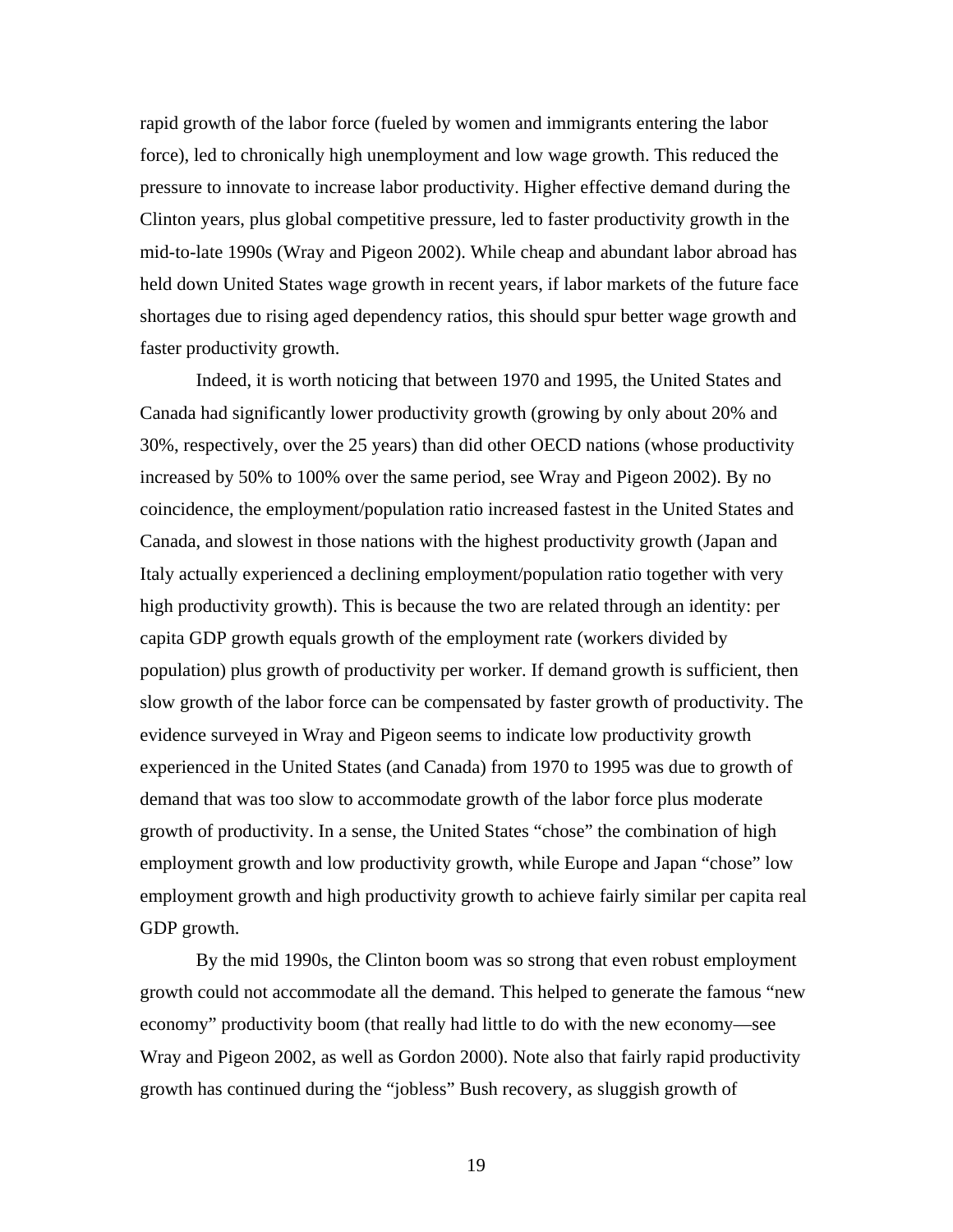rapid growth of the labor force (fueled by women and immigrants entering the labor force), led to chronically high unemployment and low wage growth. This reduced the pressure to innovate to increase labor productivity. Higher effective demand during the Clinton years, plus global competitive pressure, led to faster productivity growth in the mid-to-late 1990s (Wray and Pigeon 2002). While cheap and abundant labor abroad has held down United States wage growth in recent years, if labor markets of the future face shortages due to rising aged dependency ratios, this should spur better wage growth and faster productivity growth.

Indeed, it is worth noticing that between 1970 and 1995, the United States and Canada had significantly lower productivity growth (growing by only about 20% and 30%, respectively, over the 25 years) than did other OECD nations (whose productivity increased by 50% to 100% over the same period, see Wray and Pigeon 2002). By no coincidence, the employment/population ratio increased fastest in the United States and Canada, and slowest in those nations with the highest productivity growth (Japan and Italy actually experienced a declining employment/population ratio together with very high productivity growth). This is because the two are related through an identity: per capita GDP growth equals growth of the employment rate (workers divided by population) plus growth of productivity per worker. If demand growth is sufficient, then slow growth of the labor force can be compensated by faster growth of productivity. The evidence surveyed in Wray and Pigeon seems to indicate low productivity growth experienced in the United States (and Canada) from 1970 to 1995 was due to growth of demand that was too slow to accommodate growth of the labor force plus moderate growth of productivity. In a sense, the United States "chose" the combination of high employment growth and low productivity growth, while Europe and Japan "chose" low employment growth and high productivity growth to achieve fairly similar per capita real GDP growth.

By the mid 1990s, the Clinton boom was so strong that even robust employment growth could not accommodate all the demand. This helped to generate the famous "new economy" productivity boom (that really had little to do with the new economy—see Wray and Pigeon 2002, as well as Gordon 2000). Note also that fairly rapid productivity growth has continued during the "jobless" Bush recovery, as sluggish growth of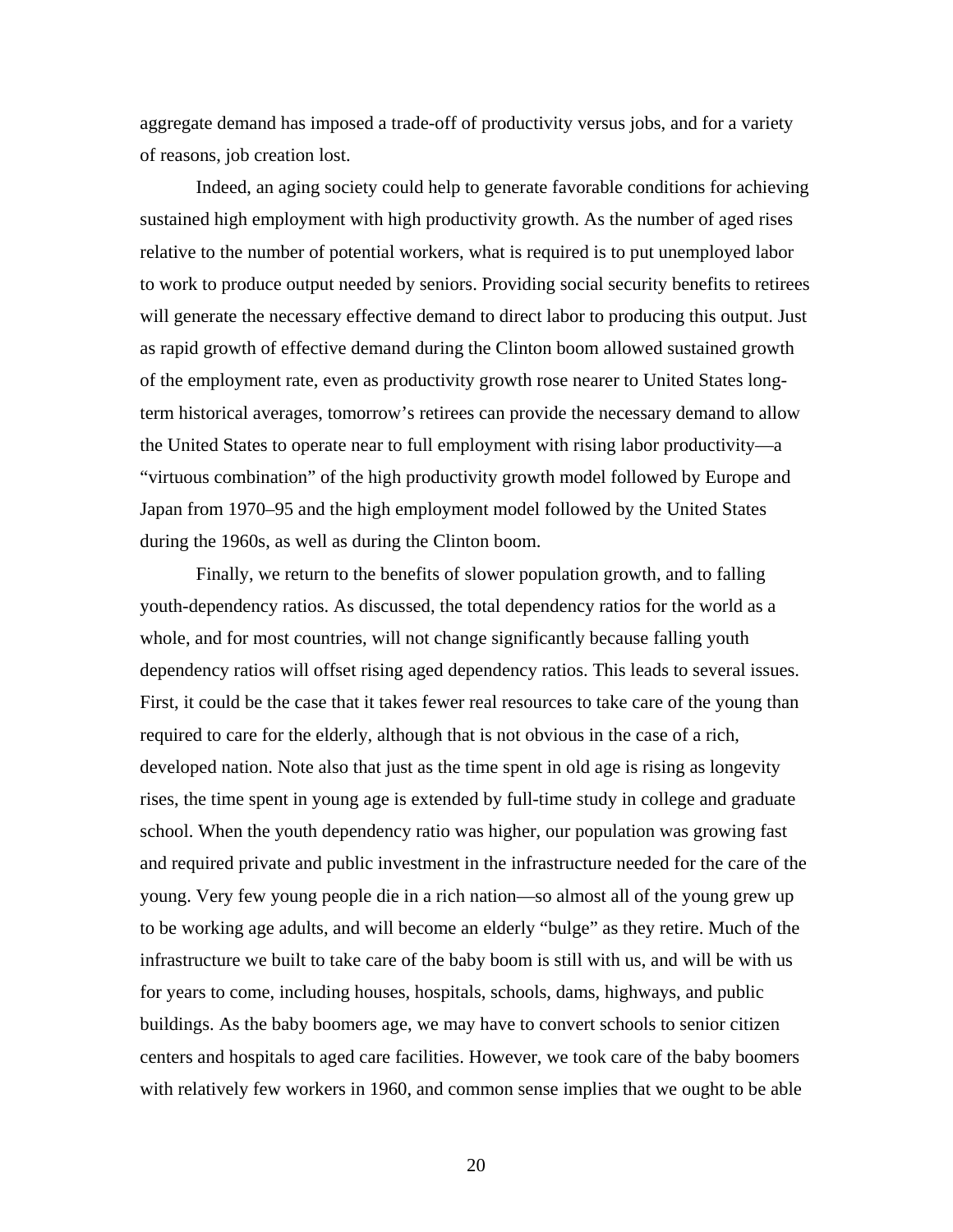aggregate demand has imposed a trade-off of productivity versus jobs, and for a variety of reasons, job creation lost.

Indeed, an aging society could help to generate favorable conditions for achieving sustained high employment with high productivity growth. As the number of aged rises relative to the number of potential workers, what is required is to put unemployed labor to work to produce output needed by seniors. Providing social security benefits to retirees will generate the necessary effective demand to direct labor to producing this output. Just as rapid growth of effective demand during the Clinton boom allowed sustained growth of the employment rate, even as productivity growth rose nearer to United States longterm historical averages, tomorrow's retirees can provide the necessary demand to allow the United States to operate near to full employment with rising labor productivity—a "virtuous combination" of the high productivity growth model followed by Europe and Japan from 1970–95 and the high employment model followed by the United States during the 1960s, as well as during the Clinton boom.

Finally, we return to the benefits of slower population growth, and to falling youth-dependency ratios. As discussed, the total dependency ratios for the world as a whole, and for most countries, will not change significantly because falling youth dependency ratios will offset rising aged dependency ratios. This leads to several issues. First, it could be the case that it takes fewer real resources to take care of the young than required to care for the elderly, although that is not obvious in the case of a rich, developed nation. Note also that just as the time spent in old age is rising as longevity rises, the time spent in young age is extended by full-time study in college and graduate school. When the youth dependency ratio was higher, our population was growing fast and required private and public investment in the infrastructure needed for the care of the young. Very few young people die in a rich nation—so almost all of the young grew up to be working age adults, and will become an elderly "bulge" as they retire. Much of the infrastructure we built to take care of the baby boom is still with us, and will be with us for years to come, including houses, hospitals, schools, dams, highways, and public buildings. As the baby boomers age, we may have to convert schools to senior citizen centers and hospitals to aged care facilities. However, we took care of the baby boomers with relatively few workers in 1960, and common sense implies that we ought to be able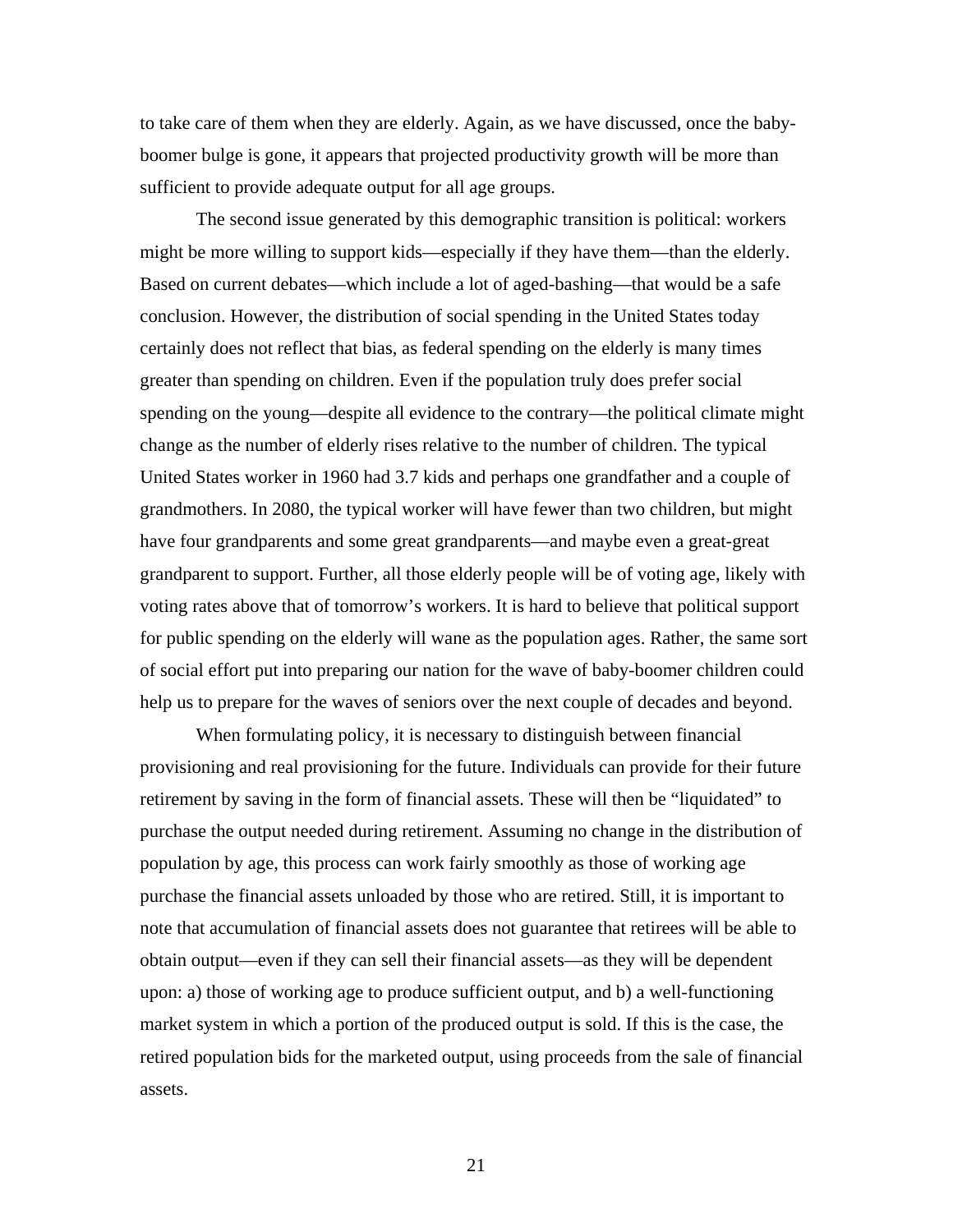to take care of them when they are elderly. Again, as we have discussed, once the babyboomer bulge is gone, it appears that projected productivity growth will be more than sufficient to provide adequate output for all age groups.

The second issue generated by this demographic transition is political: workers might be more willing to support kids—especially if they have them—than the elderly. Based on current debates—which include a lot of aged-bashing—that would be a safe conclusion. However, the distribution of social spending in the United States today certainly does not reflect that bias, as federal spending on the elderly is many times greater than spending on children. Even if the population truly does prefer social spending on the young—despite all evidence to the contrary—the political climate might change as the number of elderly rises relative to the number of children. The typical United States worker in 1960 had 3.7 kids and perhaps one grandfather and a couple of grandmothers. In 2080, the typical worker will have fewer than two children, but might have four grandparents and some great grandparents—and maybe even a great-great grandparent to support. Further, all those elderly people will be of voting age, likely with voting rates above that of tomorrow's workers. It is hard to believe that political support for public spending on the elderly will wane as the population ages. Rather, the same sort of social effort put into preparing our nation for the wave of baby-boomer children could help us to prepare for the waves of seniors over the next couple of decades and beyond.

When formulating policy, it is necessary to distinguish between financial provisioning and real provisioning for the future. Individuals can provide for their future retirement by saving in the form of financial assets. These will then be "liquidated" to purchase the output needed during retirement. Assuming no change in the distribution of population by age, this process can work fairly smoothly as those of working age purchase the financial assets unloaded by those who are retired. Still, it is important to note that accumulation of financial assets does not guarantee that retirees will be able to obtain output—even if they can sell their financial assets—as they will be dependent upon: a) those of working age to produce sufficient output, and b) a well-functioning market system in which a portion of the produced output is sold. If this is the case, the retired population bids for the marketed output, using proceeds from the sale of financial assets.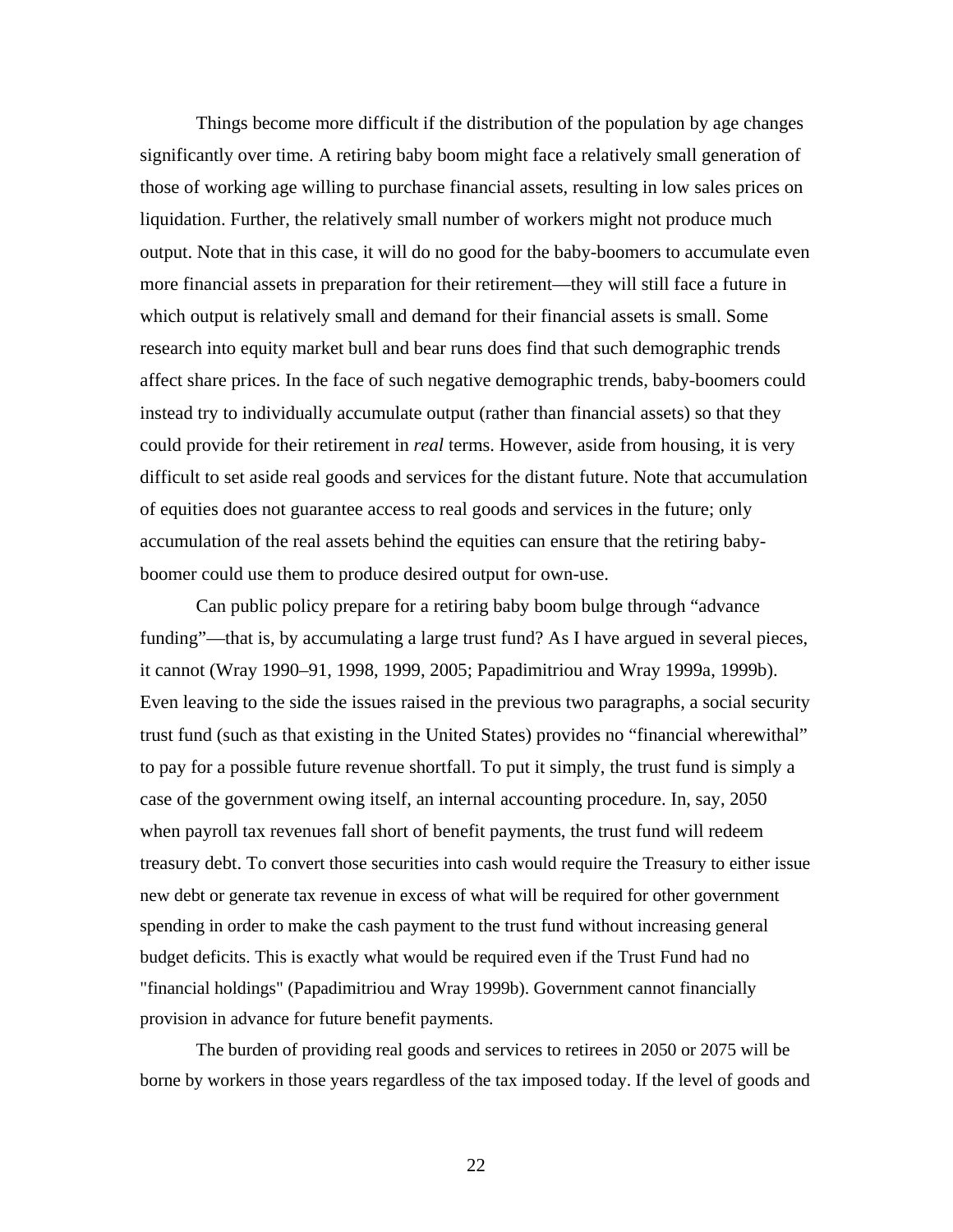Things become more difficult if the distribution of the population by age changes significantly over time. A retiring baby boom might face a relatively small generation of those of working age willing to purchase financial assets, resulting in low sales prices on liquidation. Further, the relatively small number of workers might not produce much output. Note that in this case, it will do no good for the baby-boomers to accumulate even more financial assets in preparation for their retirement—they will still face a future in which output is relatively small and demand for their financial assets is small. Some research into equity market bull and bear runs does find that such demographic trends affect share prices. In the face of such negative demographic trends, baby-boomers could instead try to individually accumulate output (rather than financial assets) so that they could provide for their retirement in *real* terms. However, aside from housing, it is very difficult to set aside real goods and services for the distant future. Note that accumulation of equities does not guarantee access to real goods and services in the future; only accumulation of the real assets behind the equities can ensure that the retiring babyboomer could use them to produce desired output for own-use.

Can public policy prepare for a retiring baby boom bulge through "advance funding"—that is, by accumulating a large trust fund? As I have argued in several pieces, it cannot (Wray 1990–91, 1998, 1999, 2005; Papadimitriou and Wray 1999a, 1999b). Even leaving to the side the issues raised in the previous two paragraphs, a social security trust fund (such as that existing in the United States) provides no "financial wherewithal" to pay for a possible future revenue shortfall. To put it simply, the trust fund is simply a case of the government owing itself, an internal accounting procedure. In, say, 2050 when payroll tax revenues fall short of benefit payments, the trust fund will redeem treasury debt. To convert those securities into cash would require the Treasury to either issue new debt or generate tax revenue in excess of what will be required for other government spending in order to make the cash payment to the trust fund without increasing general budget deficits. This is exactly what would be required even if the Trust Fund had no "financial holdings" (Papadimitriou and Wray 1999b). Government cannot financially provision in advance for future benefit payments.

The burden of providing real goods and services to retirees in 2050 or 2075 will be borne by workers in those years regardless of the tax imposed today. If the level of goods and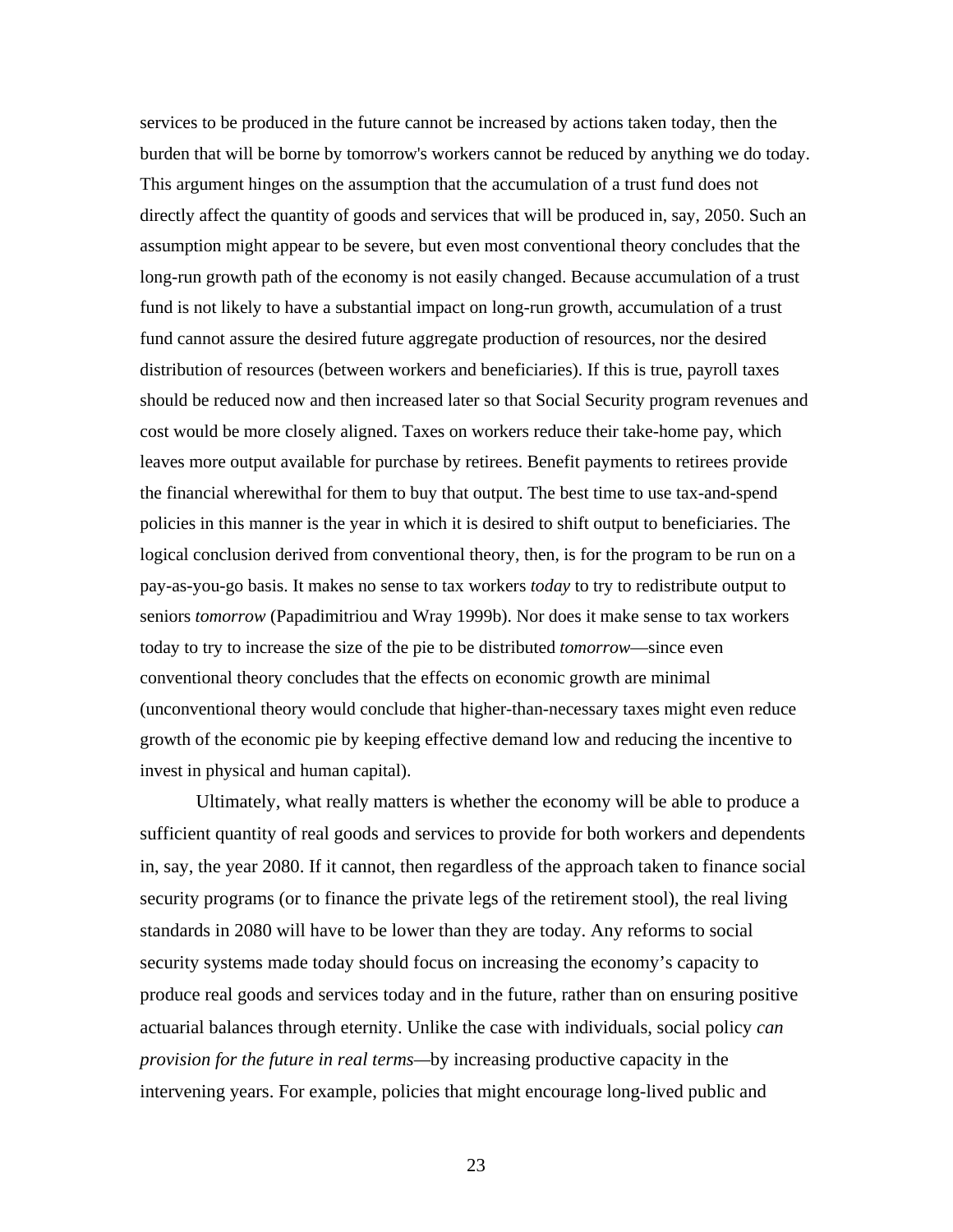services to be produced in the future cannot be increased by actions taken today, then the burden that will be borne by tomorrow's workers cannot be reduced by anything we do today. This argument hinges on the assumption that the accumulation of a trust fund does not directly affect the quantity of goods and services that will be produced in, say, 2050. Such an assumption might appear to be severe, but even most conventional theory concludes that the long-run growth path of the economy is not easily changed. Because accumulation of a trust fund is not likely to have a substantial impact on long-run growth, accumulation of a trust fund cannot assure the desired future aggregate production of resources, nor the desired distribution of resources (between workers and beneficiaries). If this is true, payroll taxes should be reduced now and then increased later so that Social Security program revenues and cost would be more closely aligned. Taxes on workers reduce their take-home pay, which leaves more output available for purchase by retirees. Benefit payments to retirees provide the financial wherewithal for them to buy that output. The best time to use tax-and-spend policies in this manner is the year in which it is desired to shift output to beneficiaries. The logical conclusion derived from conventional theory, then, is for the program to be run on a pay-as-you-go basis. It makes no sense to tax workers *today* to try to redistribute output to seniors *tomorrow* (Papadimitriou and Wray 1999b). Nor does it make sense to tax workers today to try to increase the size of the pie to be distributed *tomorrow*—since even conventional theory concludes that the effects on economic growth are minimal (unconventional theory would conclude that higher-than-necessary taxes might even reduce growth of the economic pie by keeping effective demand low and reducing the incentive to invest in physical and human capital).

Ultimately, what really matters is whether the economy will be able to produce a sufficient quantity of real goods and services to provide for both workers and dependents in, say, the year 2080. If it cannot, then regardless of the approach taken to finance social security programs (or to finance the private legs of the retirement stool), the real living standards in 2080 will have to be lower than they are today. Any reforms to social security systems made today should focus on increasing the economy's capacity to produce real goods and services today and in the future, rather than on ensuring positive actuarial balances through eternity. Unlike the case with individuals, social policy *can provision for the future in real terms—*by increasing productive capacity in the intervening years. For example, policies that might encourage long-lived public and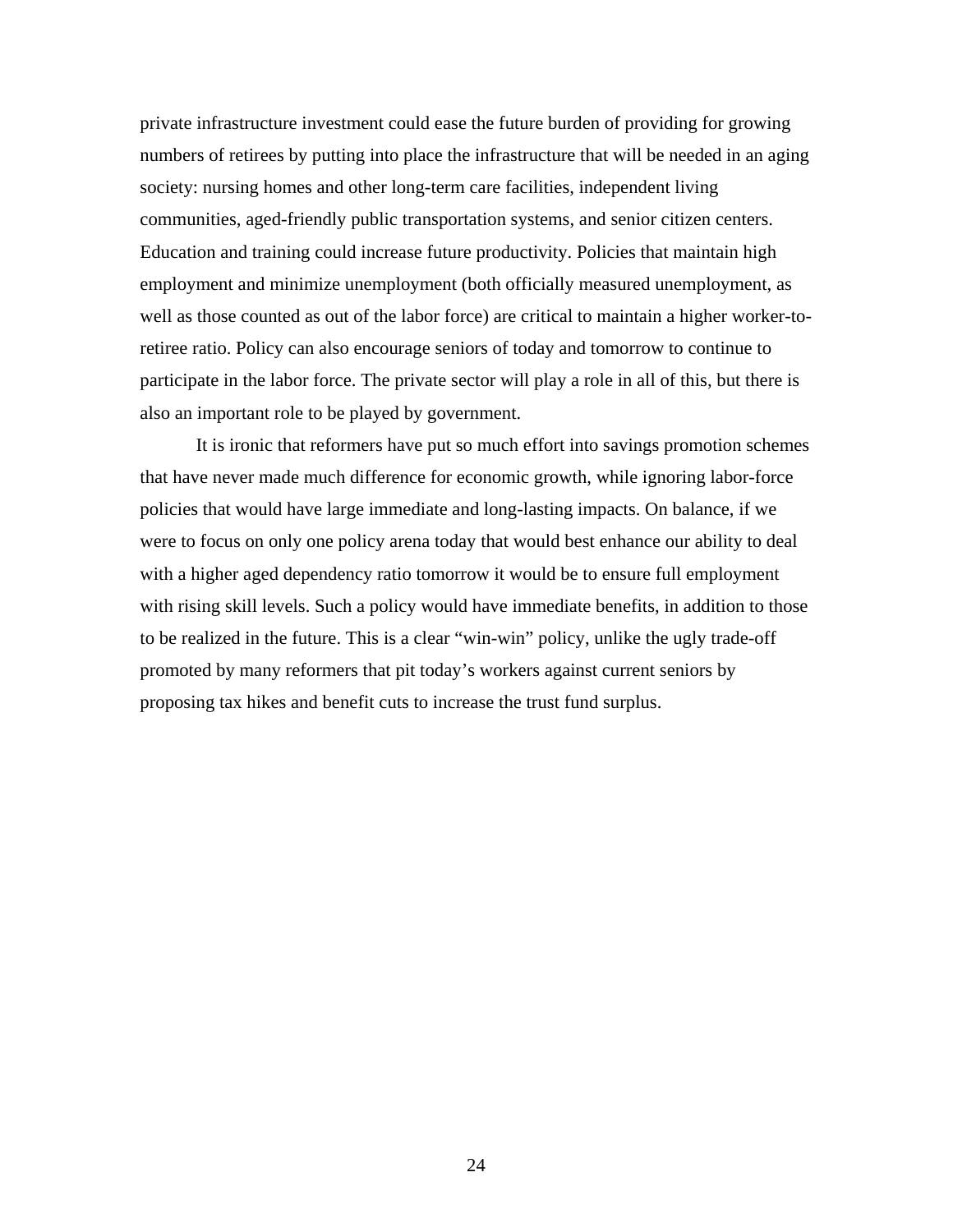private infrastructure investment could ease the future burden of providing for growing numbers of retirees by putting into place the infrastructure that will be needed in an aging society: nursing homes and other long-term care facilities, independent living communities, aged-friendly public transportation systems, and senior citizen centers. Education and training could increase future productivity. Policies that maintain high employment and minimize unemployment (both officially measured unemployment, as well as those counted as out of the labor force) are critical to maintain a higher worker-toretiree ratio. Policy can also encourage seniors of today and tomorrow to continue to participate in the labor force. The private sector will play a role in all of this, but there is also an important role to be played by government.

It is ironic that reformers have put so much effort into savings promotion schemes that have never made much difference for economic growth, while ignoring labor-force policies that would have large immediate and long-lasting impacts. On balance, if we were to focus on only one policy arena today that would best enhance our ability to deal with a higher aged dependency ratio tomorrow it would be to ensure full employment with rising skill levels. Such a policy would have immediate benefits, in addition to those to be realized in the future. This is a clear "win-win" policy, unlike the ugly trade-off promoted by many reformers that pit today's workers against current seniors by proposing tax hikes and benefit cuts to increase the trust fund surplus.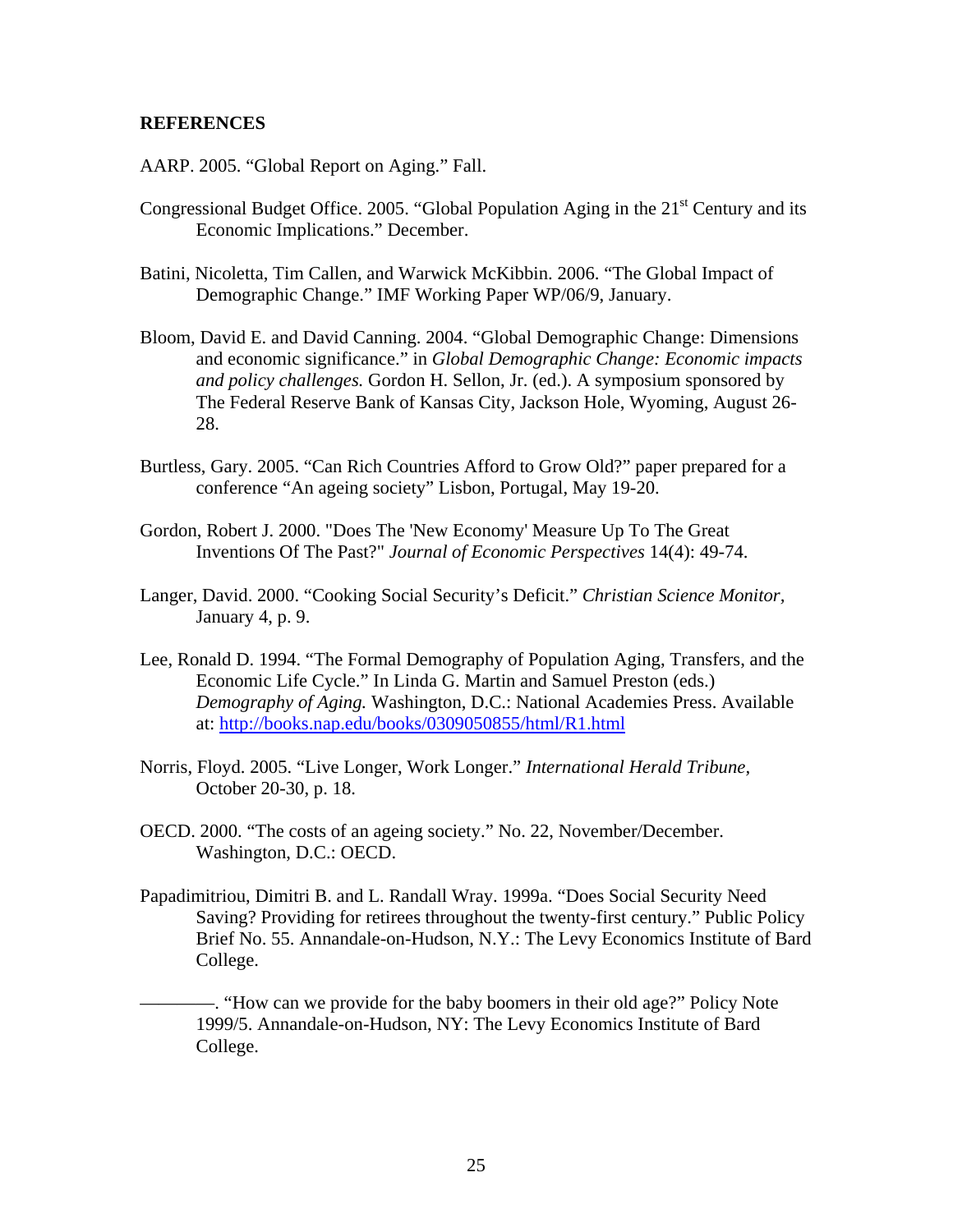### **REFERENCES**

- AARP. 2005. "Global Report on Aging." Fall.
- Congressional Budget Office. 2005. "Global Population Aging in the  $21<sup>st</sup>$  Century and its Economic Implications." December.
- Batini, Nicoletta, Tim Callen, and Warwick McKibbin. 2006. "The Global Impact of Demographic Change." IMF Working Paper WP/06/9, January.
- Bloom, David E. and David Canning. 2004. "Global Demographic Change: Dimensions and economic significance." in *Global Demographic Change: Economic impacts and policy challenges.* Gordon H. Sellon, Jr. (ed.). A symposium sponsored by The Federal Reserve Bank of Kansas City, Jackson Hole, Wyoming, August 26- 28.
- Burtless, Gary. 2005. "Can Rich Countries Afford to Grow Old?" paper prepared for a conference "An ageing society" Lisbon, Portugal, May 19-20.
- Gordon, Robert J. 2000. "Does The 'New Economy' Measure Up To The Great Inventions Of The Past?" *Journal of Economic Perspectives* 14(4): 49-74.
- Langer, David. 2000. "Cooking Social Security's Deficit." *Christian Science Monitor,*  January 4, p. 9.
- Lee, Ronald D. 1994. "The Formal Demography of Population Aging, Transfers, and the Economic Life Cycle." In Linda G. Martin and Samuel Preston (eds.) *Demography of Aging.* Washington, D.C.: National Academies Press. Available at: http://books.nap.edu/books/0309050855/html/R1.html
- Norris, Floyd. 2005. "Live Longer, Work Longer." *International Herald Tribune,*  October 20-30, p. 18.
- OECD. 2000. "The costs of an ageing society." No. 22, November/December. Washington, D.C.: OECD.
- Papadimitriou, Dimitri B. and L. Randall Wray. 1999a. "Does Social Security Need Saving? Providing for retirees throughout the twenty-first century." Public Policy Brief No. 55. Annandale-on-Hudson, N.Y.: The Levy Economics Institute of Bard College.

————. "How can we provide for the baby boomers in their old age?" Policy Note 1999/5. Annandale-on-Hudson, NY: The Levy Economics Institute of Bard College.